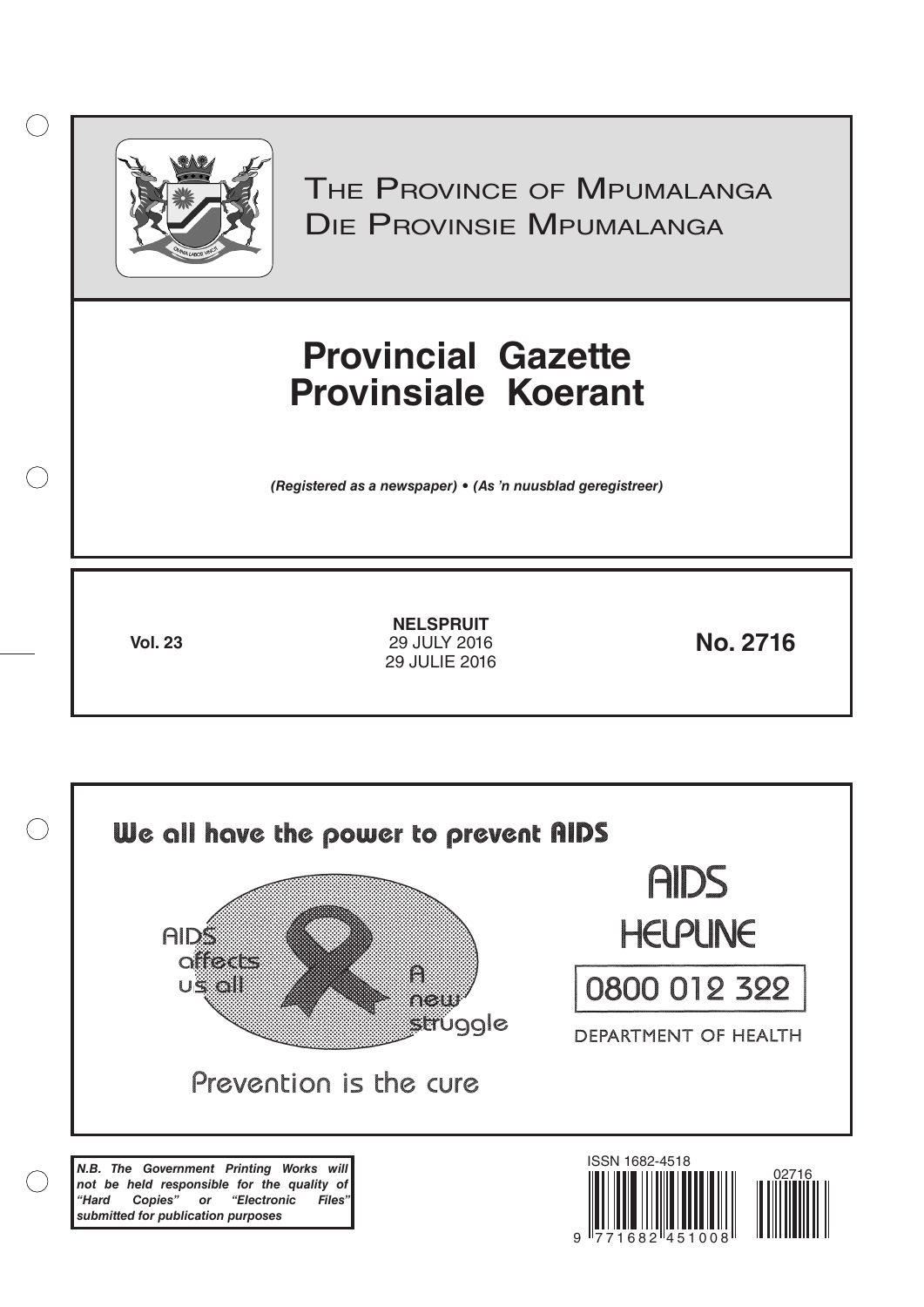

 $\bigcirc$ 

THE PROVINCE OF MPUMALANGA Die Provinsie Mpumalanga

# **Provincial Gazette Provinsiale Koerant**

*(Registered as a newspaper) • (As 'n nuusblad geregistreer)*

**Vol. 23 Vol. 23 No. 2716 No. 2716 NELSPRUIT** 29 JULY 2016 29 JULIE 2016

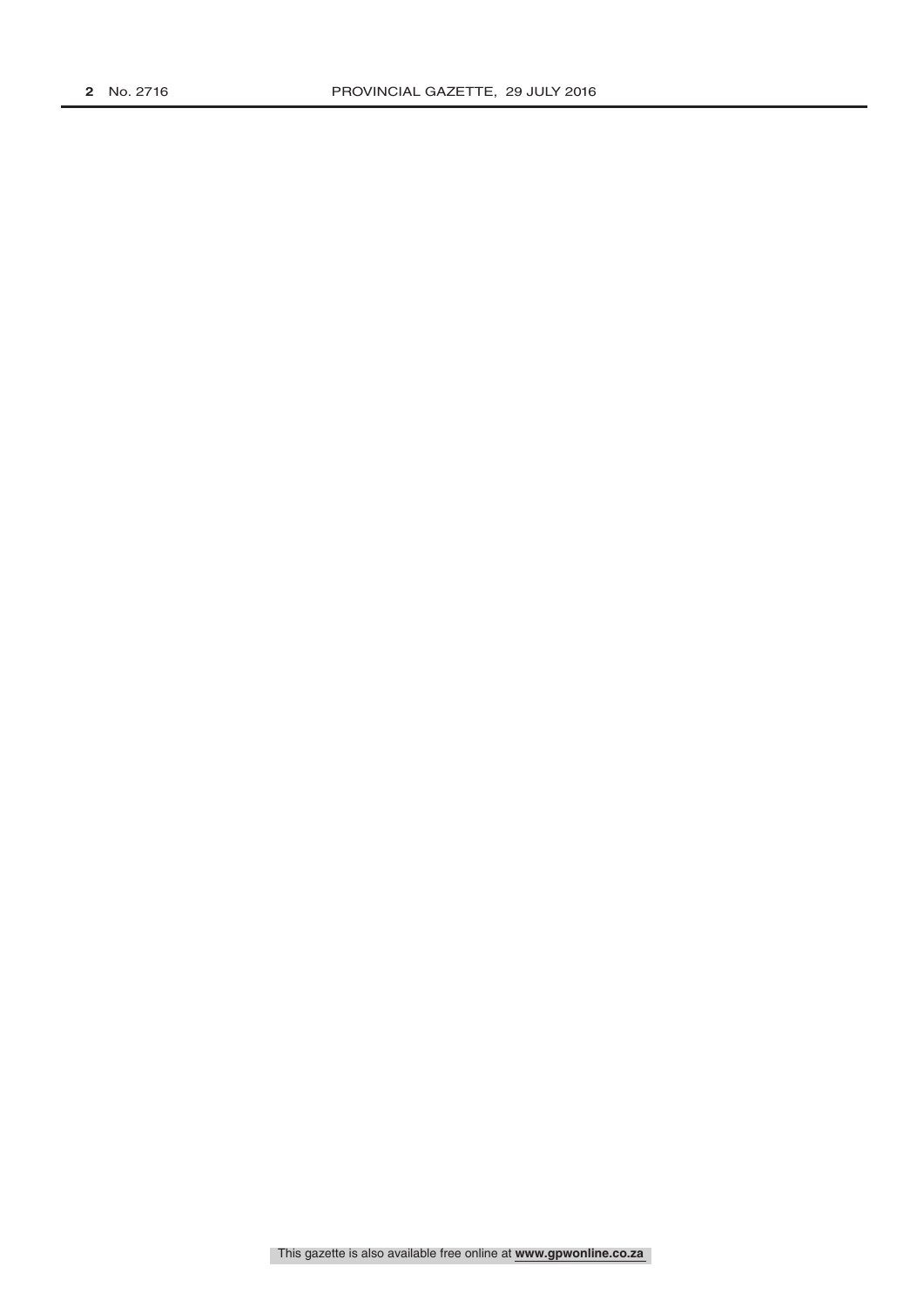This gazette is also available free online at **www.gpwonline.co.za**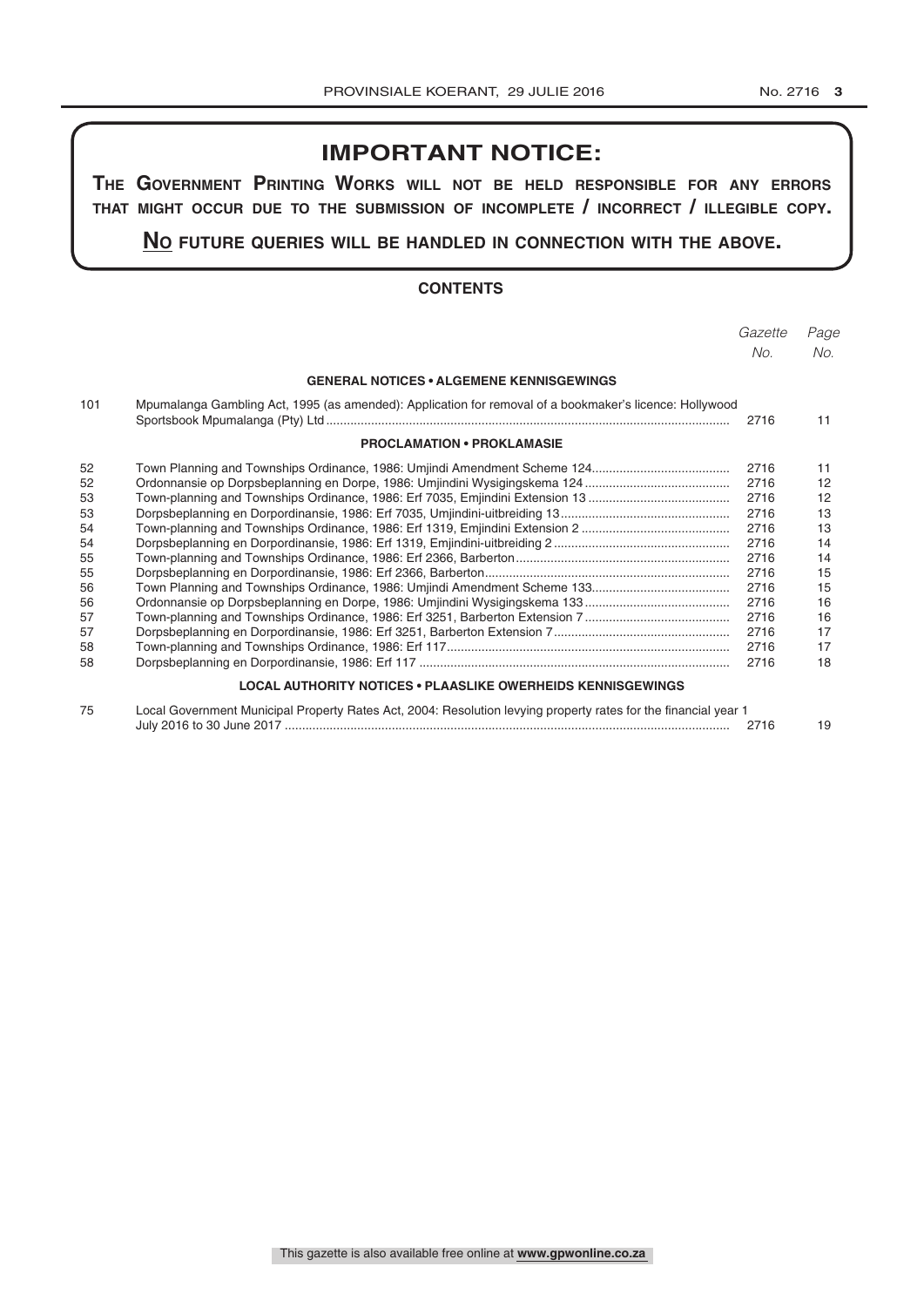## **IMPORTANT NOTICE:**

**The GovernmenT PrinTinG Works Will noT be held resPonsible for any errors ThaT miGhT occur due To The submission of incomPleTe / incorrecT / illeGible coPy.**

**no fuTure queries Will be handled in connecTion WiTh The above.**

#### **CONTENTS**

|     |                                                                                                                 | Gazette | Page |
|-----|-----------------------------------------------------------------------------------------------------------------|---------|------|
|     |                                                                                                                 | No.     | No.  |
|     | <b>GENERAL NOTICES • ALGEMENE KENNISGEWINGS</b>                                                                 |         |      |
| 101 | Mpumalanga Gambling Act, 1995 (as amended): Application for removal of a bookmaker's licence: Hollywood         | 2716    | 11   |
|     | <b>PROCLAMATION • PROKLAMASIE</b>                                                                               |         |      |
| 52  |                                                                                                                 | 2716    | 11   |
| 52  |                                                                                                                 | 2716    | 12   |
| 53  |                                                                                                                 | 2716    | 12   |
| 53  |                                                                                                                 | 2716    | 13   |
| 54  |                                                                                                                 | 2716    | 13   |
| 54  |                                                                                                                 | 2716    | 14   |
| 55  |                                                                                                                 | 2716    | 14   |
| 55  |                                                                                                                 | 2716    | 15   |
| 56  |                                                                                                                 | 2716    | 15   |
| 56  |                                                                                                                 | 2716    | 16   |
| 57  |                                                                                                                 | 2716    | 16   |
| 57  |                                                                                                                 | 2716    | 17   |
| 58  |                                                                                                                 | 2716    | 17   |
| 58  |                                                                                                                 | 2716    | 18   |
|     | LOCAL AUTHORITY NOTICES • PLAASLIKE OWERHEIDS KENNISGEWINGS                                                     |         |      |
| 75  | Local Government Municipal Property Rates Act, 2004: Resolution levying property rates for the financial year 1 |         |      |
|     |                                                                                                                 | 2716    | 19   |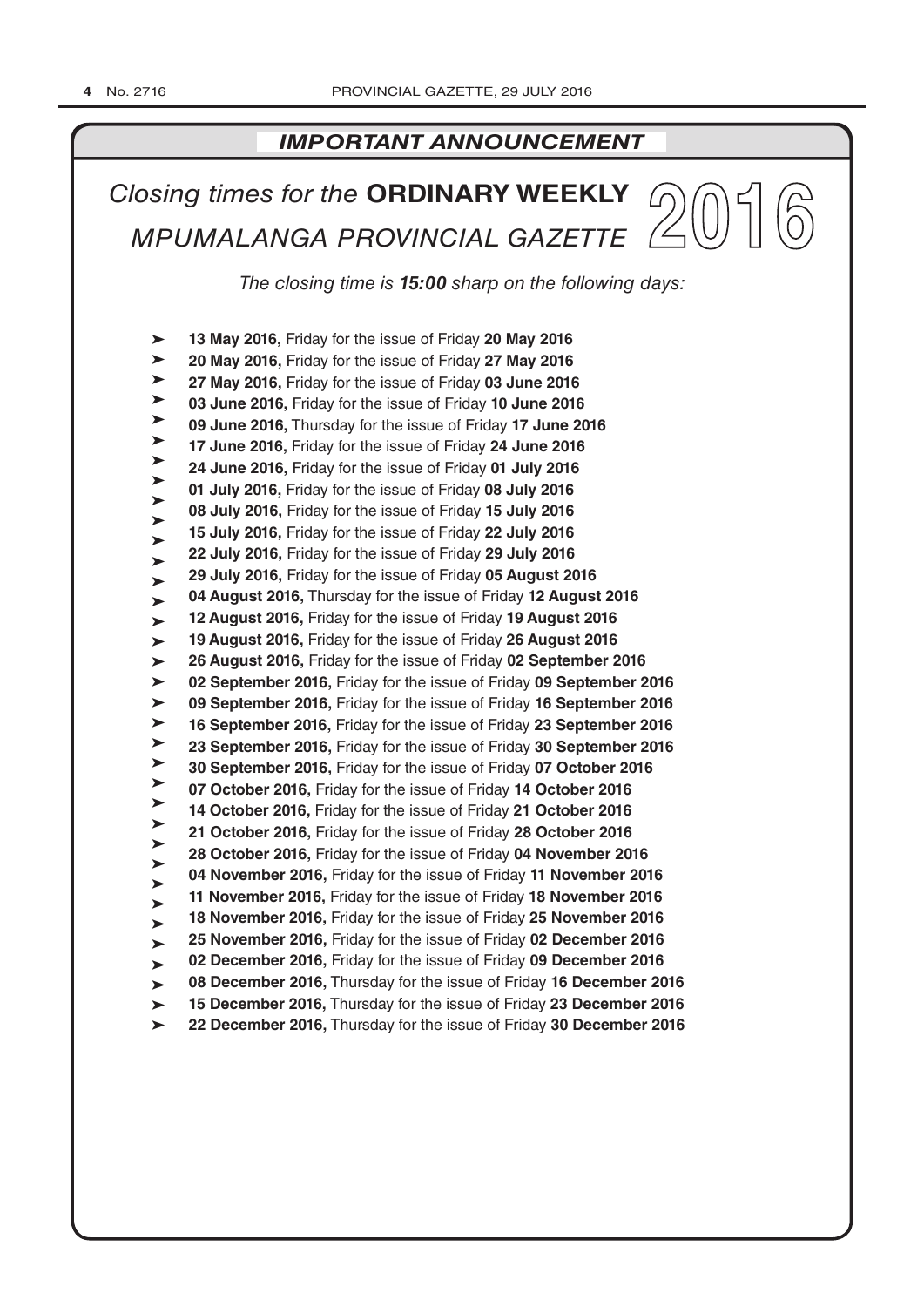## *IMPORTANT ANNOUNCEMENT*

*Closing times for the* **ORDINARY WEEKLY**  *MPUMALANGA PROVINCIAL GAZETTE*

*The closing time is 15:00 sharp on the following days:*

➤ ➤ ➤ ➤ ➤ ➤ ➤ ➤ ➤ ➤ ➤ ➤ ➤ ➤ ➤ ➤ ➤ ➤ ➤ ➤ ➤ ➤ ➤ ➤ ➤ ➤ ➤ ➤ ➤ ➤ ➤ ➤ ➤ ➤ ➤ **13 May 2016,** Friday for the issue of Friday **20 May 2016 20 May 2016,** Friday for the issue of Friday **27 May 2016 27 May 2016,** Friday for the issue of Friday **03 June 2016 03 June 2016,** Friday for the issue of Friday **10 June 2016 09 June 2016,** Thursday for the issue of Friday **17 June 2016 17 June 2016,** Friday for the issue of Friday **24 June 2016 24 June 2016,** Friday for the issue of Friday **01 July 2016 01 July 2016,** Friday for the issue of Friday **08 July 2016 08 July 2016,** Friday for the issue of Friday **15 July 2016 15 July 2016,** Friday for the issue of Friday **22 July 2016 22 July 2016,** Friday for the issue of Friday **29 July 2016 29 July 2016,** Friday for the issue of Friday **05 August 2016 04 August 2016,** Thursday for the issue of Friday **12 August 2016 12 August 2016,** Friday for the issue of Friday **19 August 2016 19 August 2016,** Friday for the issue of Friday **26 August 2016 26 August 2016,** Friday for the issue of Friday **02 September 2016 02 September 2016,** Friday for the issue of Friday **09 September 2016 09 September 2016,** Friday for the issue of Friday **16 September 2016 16 September 2016,** Friday for the issue of Friday **23 September 2016 23 September 2016,** Friday for the issue of Friday **30 September 2016 30 September 2016,** Friday for the issue of Friday **07 October 2016 07 October 2016,** Friday for the issue of Friday **14 October 2016 14 October 2016,** Friday for the issue of Friday **21 October 2016 21 October 2016,** Friday for the issue of Friday **28 October 2016 28 October 2016,** Friday for the issue of Friday **04 November 2016 04 November 2016,** Friday for the issue of Friday **11 November 2016 11 November 2016,** Friday for the issue of Friday **18 November 2016 18 November 2016,** Friday for the issue of Friday **25 November 2016 25 November 2016,** Friday for the issue of Friday **02 December 2016 02 December 2016,** Friday for the issue of Friday **09 December 2016 08 December 2016,** Thursday for the issue of Friday **16 December 2016 15 December 2016,** Thursday for the issue of Friday **23 December 2016 22 December 2016,** Thursday for the issue of Friday **30 December 2016**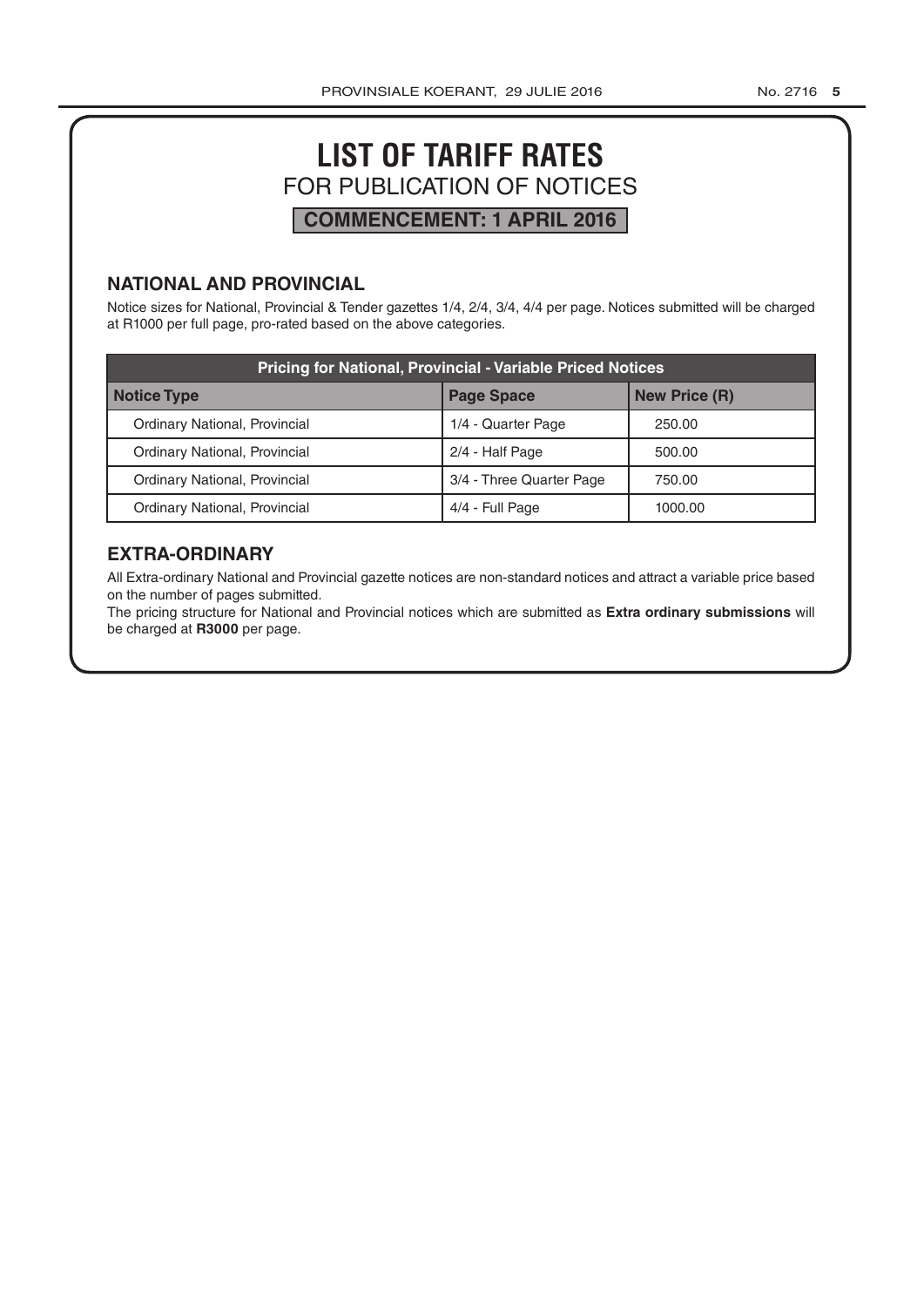## **LIST OF TARIFF RATES** FOR PUBLICATION OF NOTICES **COMMENCEMENT: 1 APRIL 2016**

### **NATIONAL AND PROVINCIAL**

Notice sizes for National, Provincial & Tender gazettes 1/4, 2/4, 3/4, 4/4 per page. Notices submitted will be charged at R1000 per full page, pro-rated based on the above categories.

| <b>Pricing for National, Provincial - Variable Priced Notices</b> |                          |                      |  |  |  |  |
|-------------------------------------------------------------------|--------------------------|----------------------|--|--|--|--|
| <b>Notice Type</b>                                                | <b>Page Space</b>        | <b>New Price (R)</b> |  |  |  |  |
| Ordinary National, Provincial                                     | 1/4 - Quarter Page       | 250.00               |  |  |  |  |
| Ordinary National, Provincial                                     | 2/4 - Half Page          | 500.00               |  |  |  |  |
| Ordinary National, Provincial                                     | 3/4 - Three Quarter Page | 750.00               |  |  |  |  |
| Ordinary National, Provincial                                     | 4/4 - Full Page          | 1000.00              |  |  |  |  |

## **EXTRA-ORDINARY**

All Extra-ordinary National and Provincial gazette notices are non-standard notices and attract a variable price based on the number of pages submitted.

The pricing structure for National and Provincial notices which are submitted as **Extra ordinary submissions** will be charged at **R3000** per page.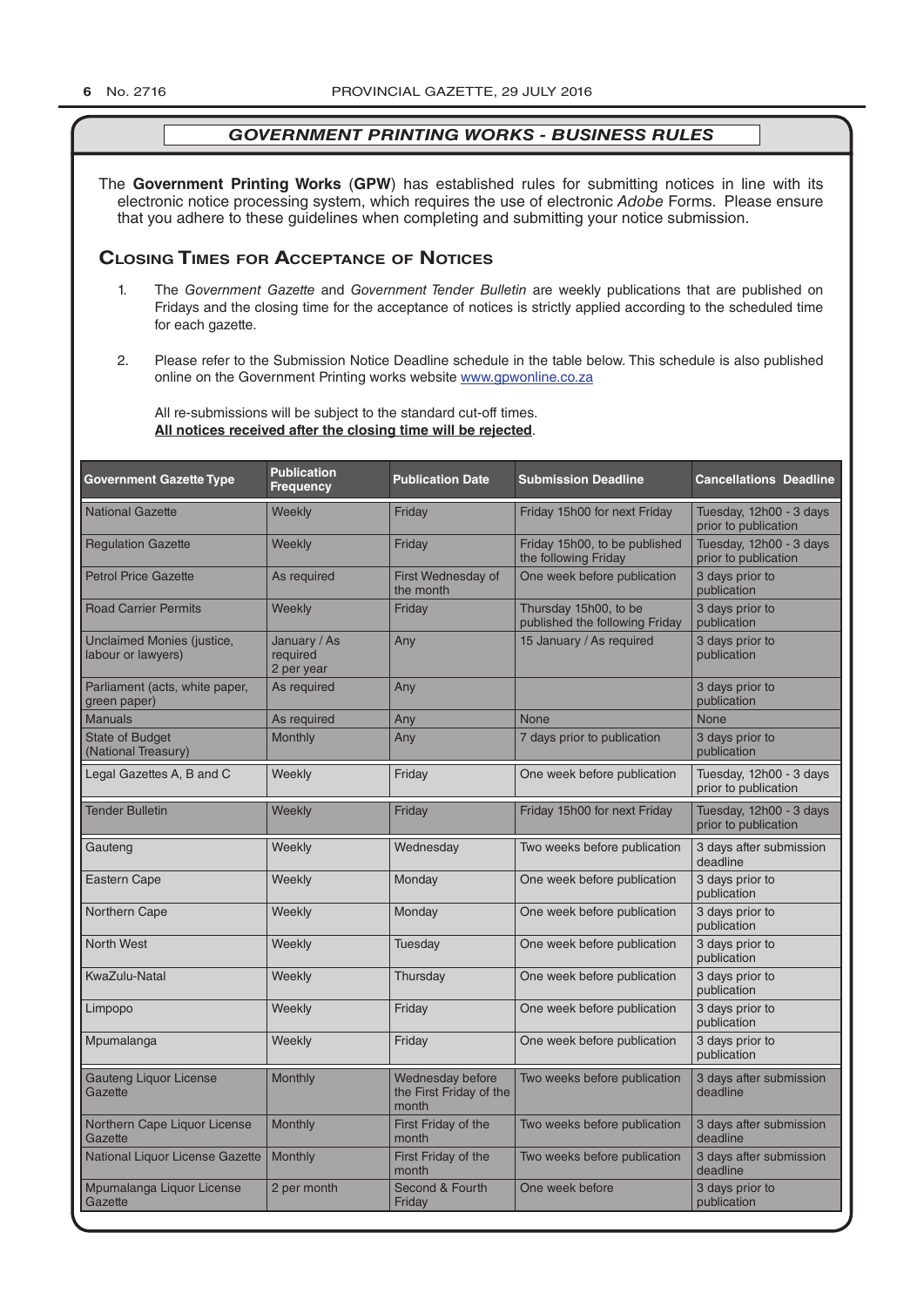The **Government Printing Works** (**GPW**) has established rules for submitting notices in line with its electronic notice processing system, which requires the use of electronic *Adobe* Forms. Please ensure that you adhere to these guidelines when completing and submitting your notice submission.

#### **Closing Times for ACCepTAnCe of noTiCes**

- 1. The *Government Gazette* and *Government Tender Bulletin* are weekly publications that are published on Fridays and the closing time for the acceptance of notices is strictly applied according to the scheduled time for each gazette.
- 2. Please refer to the Submission Notice Deadline schedule in the table below. This schedule is also published online on the Government Printing works website www.gpwonline.co.za

All re-submissions will be subject to the standard cut-off times. **All notices received after the closing time will be rejected**.

| <b>Government Gazette Type</b>                          | <b>Publication</b><br><b>Frequency</b> | <b>Publication Date</b>                              | <b>Submission Deadline</b>                              | <b>Cancellations Deadline</b>                   |
|---------------------------------------------------------|----------------------------------------|------------------------------------------------------|---------------------------------------------------------|-------------------------------------------------|
| <b>National Gazette</b>                                 | Weekly                                 | Friday                                               | Friday 15h00 for next Friday                            | Tuesday, 12h00 - 3 days<br>prior to publication |
| <b>Regulation Gazette</b>                               | Weekly                                 | Friday                                               | Friday 15h00, to be published<br>the following Friday   | Tuesday, 12h00 - 3 days<br>prior to publication |
| <b>Petrol Price Gazette</b>                             | As required                            | First Wednesday of<br>the month                      | One week before publication                             | 3 days prior to<br>publication                  |
| <b>Road Carrier Permits</b>                             | Weekly                                 | Friday                                               | Thursday 15h00, to be<br>published the following Friday | 3 days prior to<br>publication                  |
| <b>Unclaimed Monies (justice,</b><br>labour or lawyers) | January / As<br>required<br>2 per year | Any                                                  | 15 January / As required                                | 3 days prior to<br>publication                  |
| Parliament (acts, white paper,<br>green paper)          | As required                            | Any                                                  |                                                         | 3 days prior to<br>publication                  |
| <b>Manuals</b>                                          | As required                            | Any                                                  | None                                                    | <b>None</b>                                     |
| <b>State of Budget</b><br>(National Treasury)           | Monthly                                | Any                                                  | 7 days prior to publication                             | 3 days prior to<br>publication                  |
| Legal Gazettes A, B and C                               | Weekly                                 | Friday                                               | One week before publication                             | Tuesday, 12h00 - 3 days<br>prior to publication |
| <b>Tender Bulletin</b>                                  | Weekly                                 | Friday                                               | Friday 15h00 for next Friday                            | Tuesday, 12h00 - 3 days<br>prior to publication |
| Gauteng                                                 | Weekly                                 | Wednesday                                            | Two weeks before publication                            | 3 days after submission<br>deadline             |
| <b>Eastern Cape</b>                                     | Weekly                                 | Monday                                               | One week before publication                             | 3 days prior to<br>publication                  |
| Northern Cape                                           | Weekly                                 | Monday                                               | One week before publication                             | 3 days prior to<br>publication                  |
| <b>North West</b>                                       | Weekly                                 | Tuesday                                              | One week before publication                             | 3 days prior to<br>publication                  |
| KwaZulu-Natal                                           | Weekly                                 | Thursday                                             | One week before publication                             | 3 days prior to<br>publication                  |
| Limpopo                                                 | Weekly                                 | Friday                                               | One week before publication                             | 3 days prior to<br>publication                  |
| Mpumalanga                                              | Weekly                                 | Friday                                               | One week before publication                             | 3 days prior to<br>publication                  |
| <b>Gauteng Liquor License</b><br>Gazette                | Monthly                                | Wednesday before<br>the First Friday of the<br>month | Two weeks before publication                            | 3 days after submission<br>deadline             |
| Northern Cape Liquor License<br>Gazette                 | Monthly                                | First Friday of the<br>month                         | Two weeks before publication                            | 3 days after submission<br>deadline             |
| National Liquor License Gazette                         | Monthly                                | First Friday of the<br>month                         | Two weeks before publication                            | 3 days after submission<br>deadline             |
| Mpumalanga Liquor License<br>Gazette                    | 2 per month                            | Second & Fourth<br>Friday                            | One week before                                         | 3 days prior to<br>publication                  |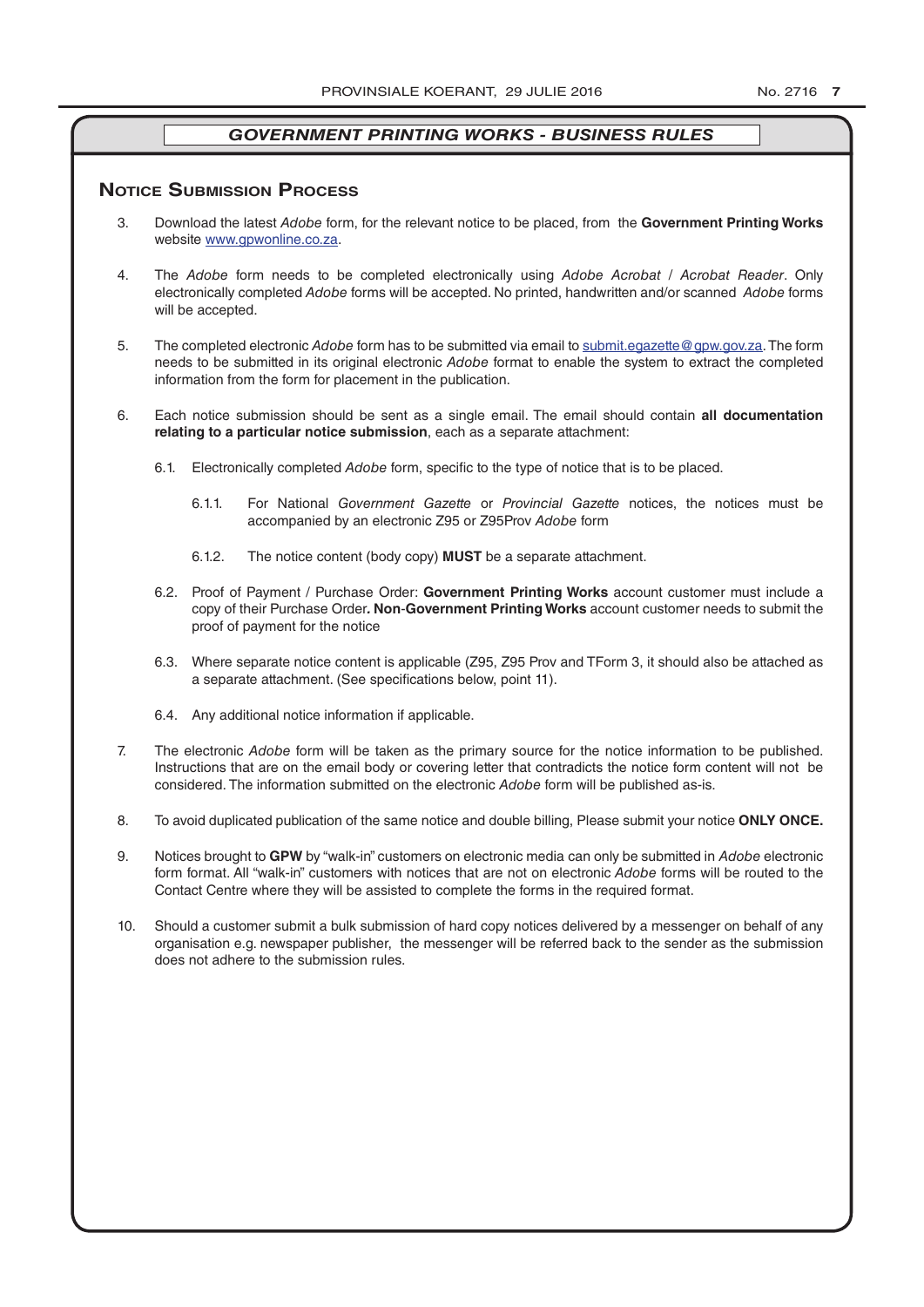#### **NOTICE SUBMISSION PROCESS**

- 3. Download the latest *Adobe* form, for the relevant notice to be placed, from the **Government Printing Works** website www.gpwonline.co.za.
- 4. The *Adobe* form needs to be completed electronically using *Adobe Acrobat* / *Acrobat Reader*. Only electronically completed *Adobe* forms will be accepted. No printed, handwritten and/or scanned *Adobe* forms will be accepted.
- 5. The completed electronic *Adobe* form has to be submitted via email to submit.egazette@gpw.gov.za. The form needs to be submitted in its original electronic *Adobe* format to enable the system to extract the completed information from the form for placement in the publication.
- 6. Each notice submission should be sent as a single email. The email should contain **all documentation relating to a particular notice submission**, each as a separate attachment:
	- 6.1. Electronically completed *Adobe* form, specific to the type of notice that is to be placed.
		- 6.1.1. For National *Government Gazette* or *Provincial Gazette* notices, the notices must be accompanied by an electronic Z95 or Z95Prov *Adobe* form
		- 6.1.2. The notice content (body copy) **MUST** be a separate attachment.
	- 6.2. Proof of Payment / Purchase Order: **Government Printing Works** account customer must include a copy of their Purchase Order*.* **Non**-**Government Printing Works** account customer needs to submit the proof of payment for the notice
	- 6.3. Where separate notice content is applicable (Z95, Z95 Prov and TForm 3, it should also be attached as a separate attachment. (See specifications below, point 11).
	- 6.4. Any additional notice information if applicable.
- 7. The electronic *Adobe* form will be taken as the primary source for the notice information to be published. Instructions that are on the email body or covering letter that contradicts the notice form content will not be considered. The information submitted on the electronic *Adobe* form will be published as-is.
- 8. To avoid duplicated publication of the same notice and double billing, Please submit your notice **ONLY ONCE.**
- 9. Notices brought to **GPW** by "walk-in" customers on electronic media can only be submitted in *Adobe* electronic form format. All "walk-in" customers with notices that are not on electronic *Adobe* forms will be routed to the Contact Centre where they will be assisted to complete the forms in the required format.
- 10. Should a customer submit a bulk submission of hard copy notices delivered by a messenger on behalf of any organisation e.g. newspaper publisher, the messenger will be referred back to the sender as the submission does not adhere to the submission rules.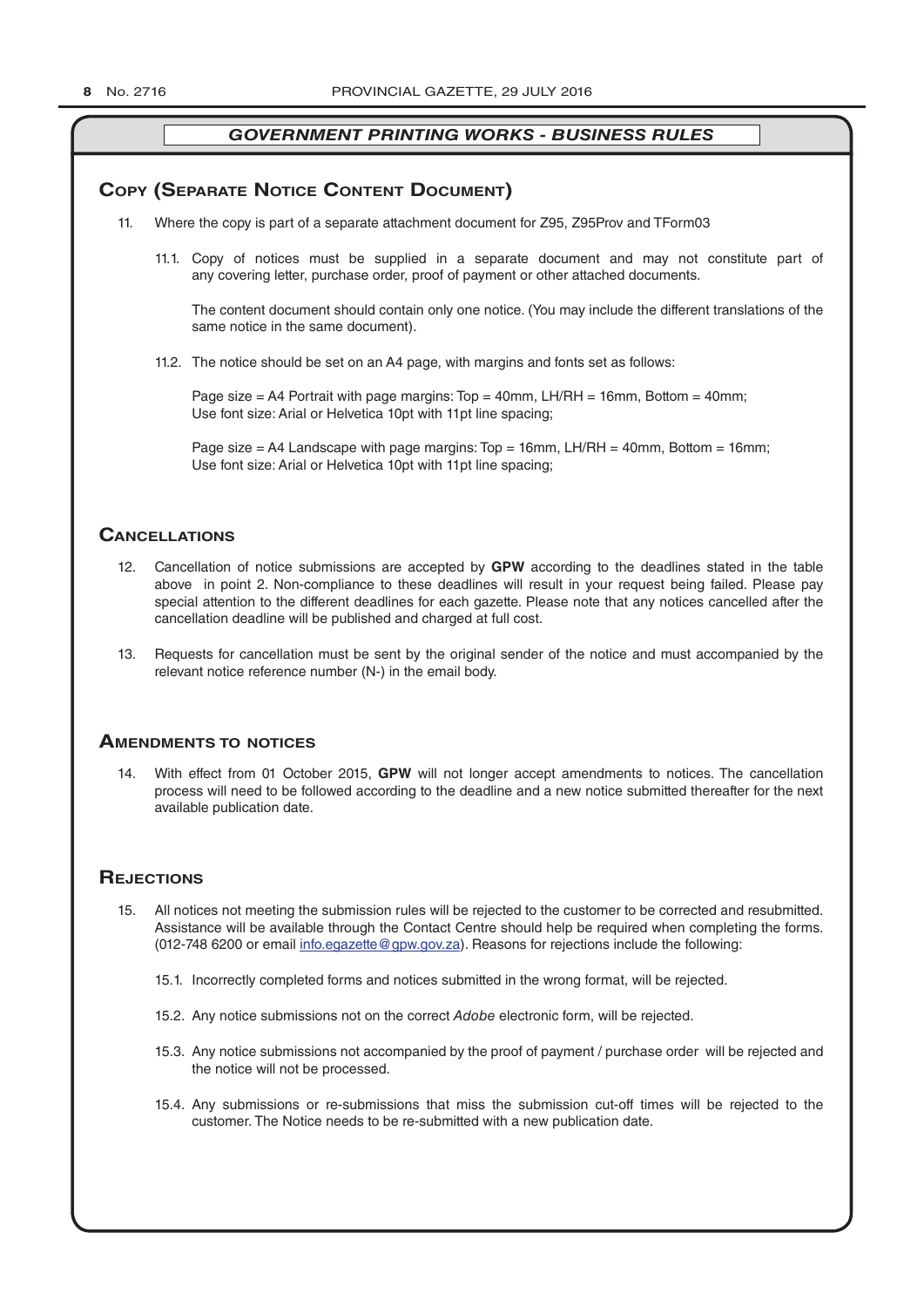#### **COPY (SEPARATE NOTICE CONTENT DOCUMENT)**

- 11. Where the copy is part of a separate attachment document for Z95, Z95Prov and TForm03
	- 11.1. Copy of notices must be supplied in a separate document and may not constitute part of any covering letter, purchase order, proof of payment or other attached documents.

The content document should contain only one notice. (You may include the different translations of the same notice in the same document).

11.2. The notice should be set on an A4 page, with margins and fonts set as follows:

Page size  $=$  A4 Portrait with page margins: Top  $=$  40mm, LH/RH  $=$  16mm, Bottom  $=$  40mm; Use font size: Arial or Helvetica 10pt with 11pt line spacing;

Page size = A4 Landscape with page margins: Top = 16mm, LH/RH = 40mm, Bottom = 16mm; Use font size: Arial or Helvetica 10pt with 11pt line spacing;

#### **CAnCellATions**

- 12. Cancellation of notice submissions are accepted by **GPW** according to the deadlines stated in the table above in point 2. Non-compliance to these deadlines will result in your request being failed. Please pay special attention to the different deadlines for each gazette. Please note that any notices cancelled after the cancellation deadline will be published and charged at full cost.
- 13. Requests for cancellation must be sent by the original sender of the notice and must accompanied by the relevant notice reference number (N-) in the email body.

#### **AmenDmenTs To noTiCes**

14. With effect from 01 October 2015, **GPW** will not longer accept amendments to notices. The cancellation process will need to be followed according to the deadline and a new notice submitted thereafter for the next available publication date.

### **REJECTIONS**

- 15. All notices not meeting the submission rules will be rejected to the customer to be corrected and resubmitted. Assistance will be available through the Contact Centre should help be required when completing the forms. (012-748 6200 or email info.egazette@gpw.gov.za). Reasons for rejections include the following:
	- 15.1. Incorrectly completed forms and notices submitted in the wrong format, will be rejected.
	- 15.2. Any notice submissions not on the correct *Adobe* electronic form, will be rejected.
	- 15.3. Any notice submissions not accompanied by the proof of payment / purchase order will be rejected and the notice will not be processed.
	- 15.4. Any submissions or re-submissions that miss the submission cut-off times will be rejected to the customer. The Notice needs to be re-submitted with a new publication date.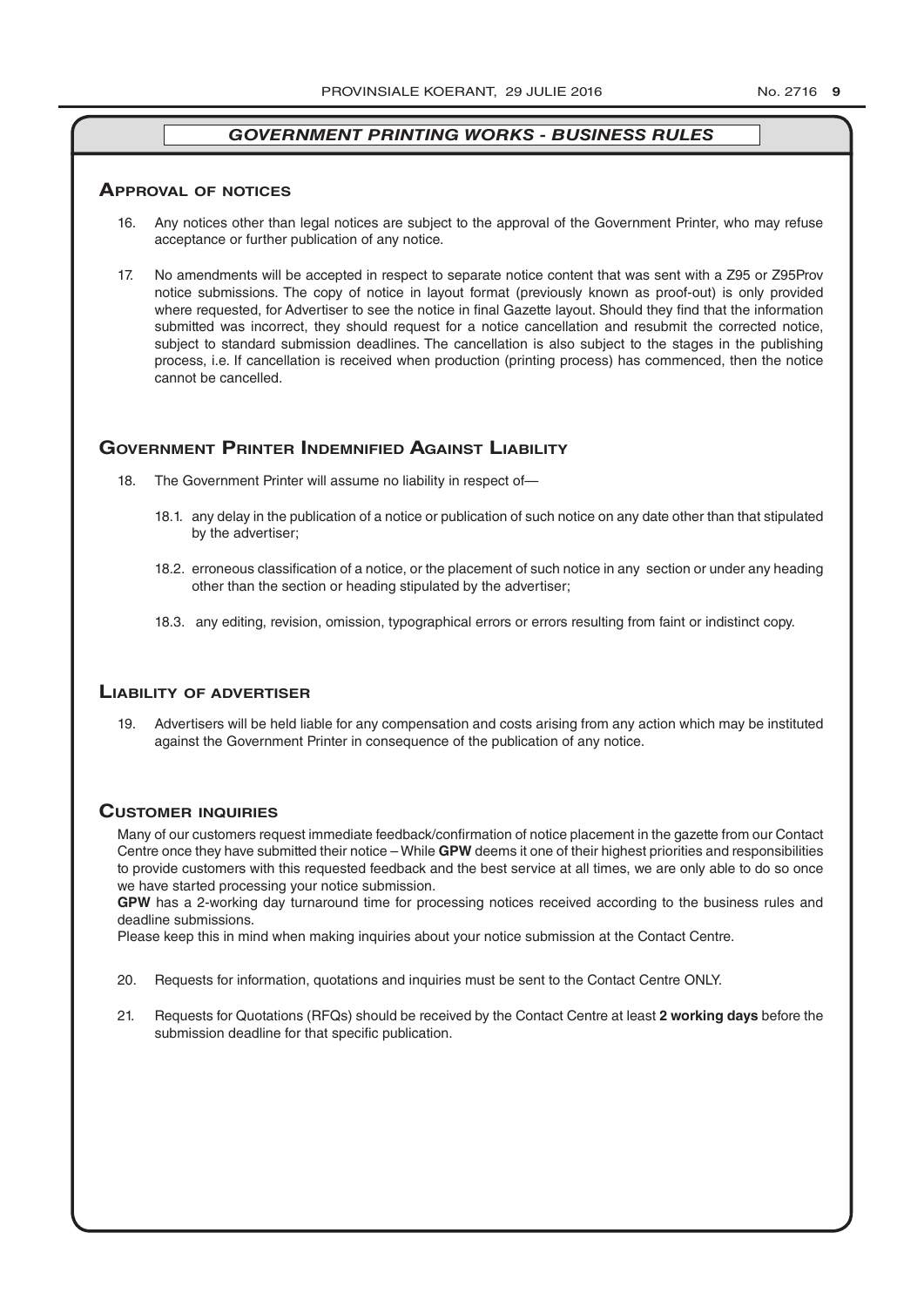#### **ApprovAl of noTiCes**

- 16. Any notices other than legal notices are subject to the approval of the Government Printer, who may refuse acceptance or further publication of any notice.
- 17. No amendments will be accepted in respect to separate notice content that was sent with a Z95 or Z95Prov notice submissions. The copy of notice in layout format (previously known as proof-out) is only provided where requested, for Advertiser to see the notice in final Gazette layout. Should they find that the information submitted was incorrect, they should request for a notice cancellation and resubmit the corrected notice, subject to standard submission deadlines. The cancellation is also subject to the stages in the publishing process, i.e. If cancellation is received when production (printing process) has commenced, then the notice cannot be cancelled.

#### **governmenT prinTer inDemnifieD AgAinsT liAbiliTy**

- 18. The Government Printer will assume no liability in respect of—
	- 18.1. any delay in the publication of a notice or publication of such notice on any date other than that stipulated by the advertiser;
	- 18.2. erroneous classification of a notice, or the placement of such notice in any section or under any heading other than the section or heading stipulated by the advertiser;
	- 18.3. any editing, revision, omission, typographical errors or errors resulting from faint or indistinct copy.

#### **liAbiliTy of ADverTiser**

19. Advertisers will be held liable for any compensation and costs arising from any action which may be instituted against the Government Printer in consequence of the publication of any notice.

#### **CusTomer inquiries**

Many of our customers request immediate feedback/confirmation of notice placement in the gazette from our Contact Centre once they have submitted their notice – While **GPW** deems it one of their highest priorities and responsibilities to provide customers with this requested feedback and the best service at all times, we are only able to do so once we have started processing your notice submission.

**GPW** has a 2-working day turnaround time for processing notices received according to the business rules and deadline submissions.

Please keep this in mind when making inquiries about your notice submission at the Contact Centre.

- 20. Requests for information, quotations and inquiries must be sent to the Contact Centre ONLY.
- 21. Requests for Quotations (RFQs) should be received by the Contact Centre at least **2 working days** before the submission deadline for that specific publication.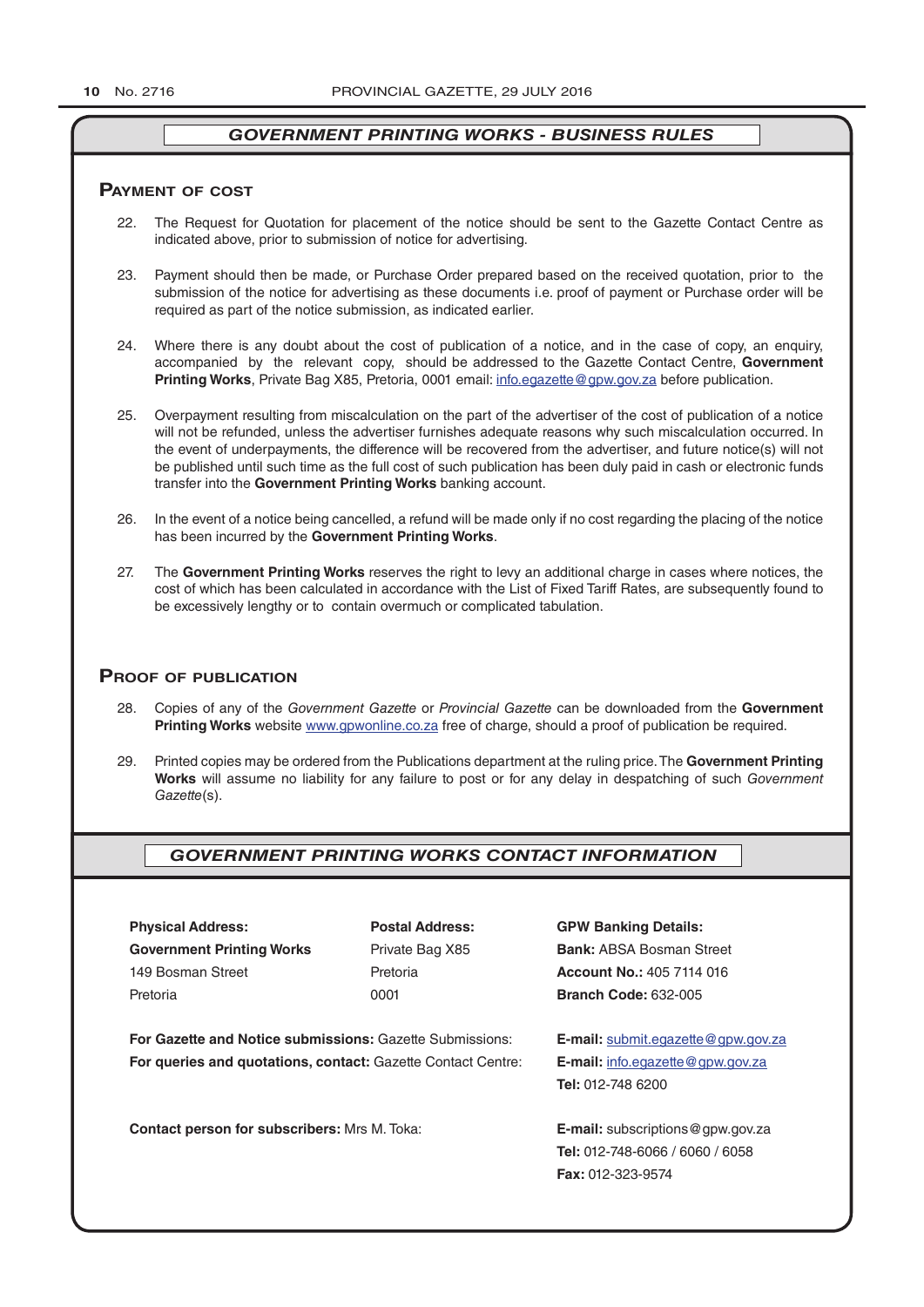#### **pAymenT of CosT**

- 22. The Request for Quotation for placement of the notice should be sent to the Gazette Contact Centre as indicated above, prior to submission of notice for advertising.
- 23. Payment should then be made, or Purchase Order prepared based on the received quotation, prior to the submission of the notice for advertising as these documents i.e. proof of payment or Purchase order will be required as part of the notice submission, as indicated earlier.
- 24. Where there is any doubt about the cost of publication of a notice, and in the case of copy, an enquiry, accompanied by the relevant copy, should be addressed to the Gazette Contact Centre, **Government Printing Works**, Private Bag X85, Pretoria, 0001 email: info.egazette@gpw.gov.za before publication.
- 25. Overpayment resulting from miscalculation on the part of the advertiser of the cost of publication of a notice will not be refunded, unless the advertiser furnishes adequate reasons why such miscalculation occurred. In the event of underpayments, the difference will be recovered from the advertiser, and future notice(s) will not be published until such time as the full cost of such publication has been duly paid in cash or electronic funds transfer into the **Government Printing Works** banking account.
- 26. In the event of a notice being cancelled, a refund will be made only if no cost regarding the placing of the notice has been incurred by the **Government Printing Works**.
- 27. The **Government Printing Works** reserves the right to levy an additional charge in cases where notices, the cost of which has been calculated in accordance with the List of Fixed Tariff Rates, are subsequently found to be excessively lengthy or to contain overmuch or complicated tabulation.

#### **proof of publiCATion**

- 28. Copies of any of the *Government Gazette* or *Provincial Gazette* can be downloaded from the **Government Printing Works** website www.gpwonline.co.za free of charge, should a proof of publication be required.
- 29. Printed copies may be ordered from the Publications department at the ruling price. The **Government Printing Works** will assume no liability for any failure to post or for any delay in despatching of such *Government Gazette*(s).

#### *GOVERNMENT PRINTING WORKS CONTACT INFORMATION*

**Physical Address: Postal Address: GPW Banking Details: Government Printing Works** Private Bag X85 **Bank:** ABSA Bosman Street 149 Bosman Street Pretoria **Account No.:** 405 7114 016 Pretoria 0001 **Branch Code:** 632-005

**For Gazette and Notice submissions:** Gazette Submissions: **E-mail:** submit.egazette@gpw.gov.za **For queries and quotations, contact:** Gazette Contact Centre: **E-mail:** info.egazette@gpw.gov.za

**Contact person for subscribers:** Mrs M. Toka: **E-mail:** subscriptions@gpw.gov.za

**Tel:** 012-748 6200

**Tel:** 012-748-6066 / 6060 / 6058 **Fax:** 012-323-9574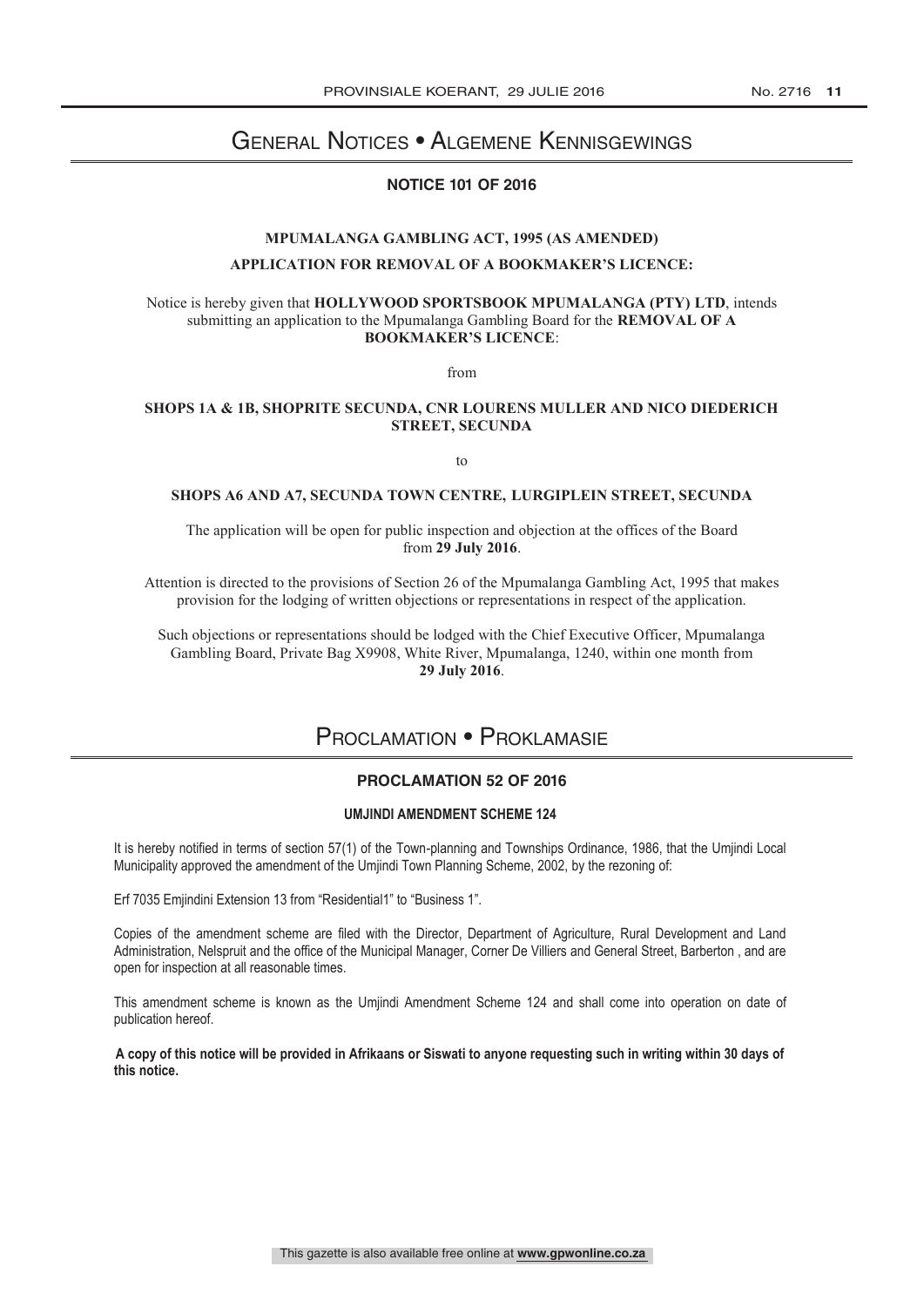## General Notices • Algemene Kennisgewings

#### **NOTICE 101 OF 2016**

#### **MPUMALANGA GAMBLING ACT, 1995 (AS AMENDED)**

#### **APPLICATION FOR REMOVAL OF A BOOKMAKER'S LICENCE:**

Notice is hereby given that **HOLLYWOOD SPORTSBOOK MPUMALANGA (PTY) LTD**, intends submitting an application to the Mpumalanga Gambling Board for the **REMOVAL OF A BOOKMAKER'S LICENCE**:

from

#### **SHOPS 1A & 1B, SHOPRITE SECUNDA, CNR LOURENS MULLER AND NICO DIEDERICH STREET, SECUNDA**

to

#### **SHOPS A6 AND A7, SECUNDA TOWN CENTRE, LURGIPLEIN STREET, SECUNDA**

The application will be open for public inspection and objection at the offices of the Board from **29 July 2016**.

Attention is directed to the provisions of Section 26 of the Mpumalanga Gambling Act, 1995 that makes provision for the lodging of written objections or representations in respect of the application.

Such objections or representations should be lodged with the Chief Executive Officer, Mpumalanga Gambling Board, Private Bag X9908, White River, Mpumalanga, 1240, within one month from **29 July 2016**.

## Proclamation • Proklamasie

#### **PROCLAMATION 52 OF 2016**

#### **UMJINDI AMENDMENT SCHEME 124**

It is hereby notified in terms of section 57(1) of the Town-planning and Townships Ordinance, 1986, that the Umjindi Local Municipality approved the amendment of the Umjindi Town Planning Scheme, 2002, by the rezoning of:

Erf 7035 Emjindini Extension 13 from "Residential1" to "Business 1".

Copies of the amendment scheme are filed with the Director, Department of Agriculture, Rural Development and Land Administration, Nelspruit and the office of the Municipal Manager, Corner De Villiers and General Street, Barberton , and are open for inspection at all reasonable times.

This amendment scheme is known as the Umjindi Amendment Scheme 124 and shall come into operation on date of publication hereof.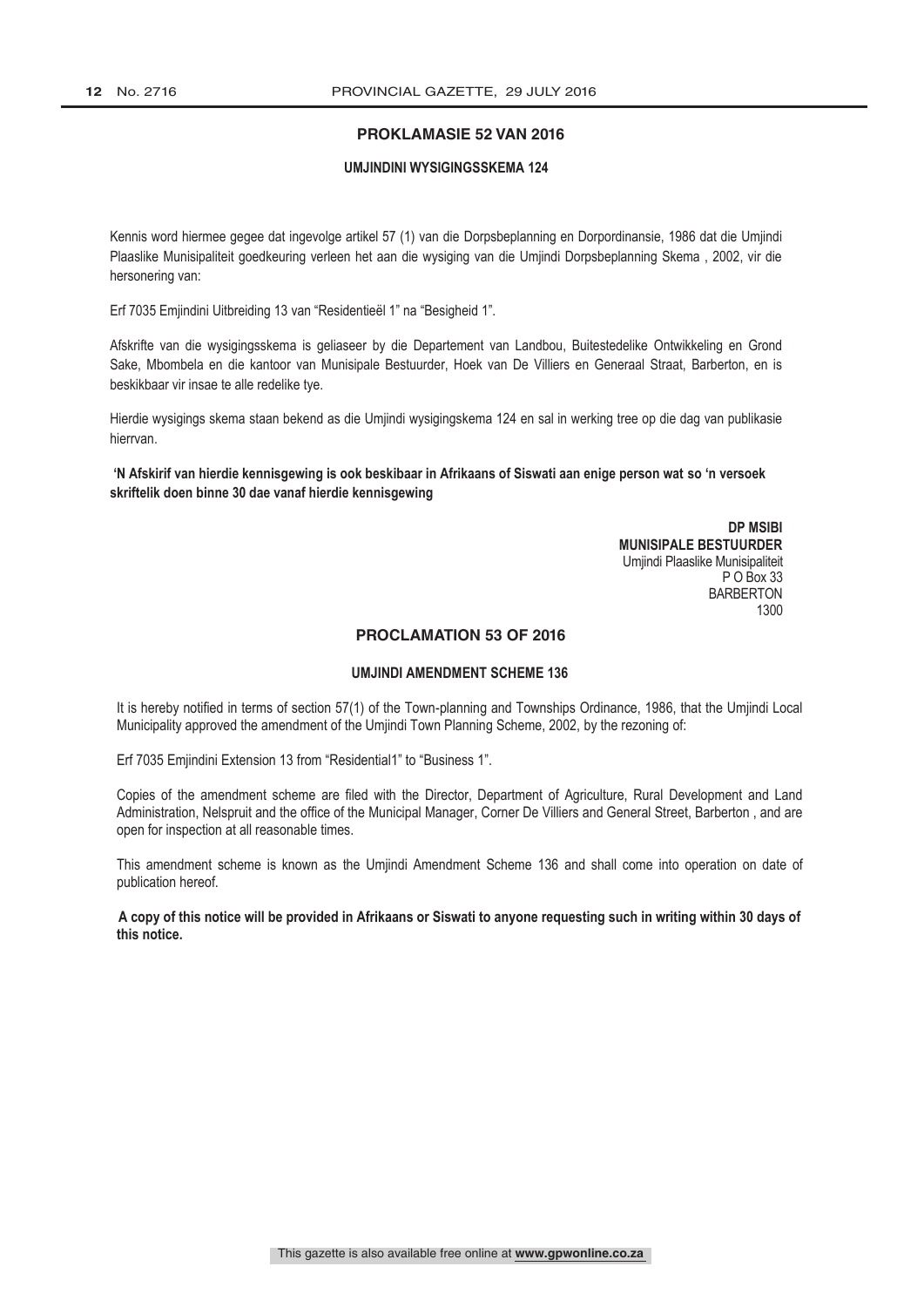#### **PROKLAMASIE 52 VAN 2016**

#### **UMJINDINI WYSIGINGSSKEMA 124**

Kennis word hiermee gegee dat ingevolge artikel 57 (1) van die Dorpsbeplanning en Dorpordinansie, 1986 dat die Umjindi Plaaslike Munisipaliteit goedkeuring verleen het aan die wysiging van die Umjindi Dorpsbeplanning Skema , 2002, vir die hersonering van:

Erf 7035 Emjindini Uitbreiding 13 van "Residentieël 1" na "Besigheid 1".

Afskrifte van die wysigingsskema is geliaseer by die Departement van Landbou, Buitestedelike Ontwikkeling en Grond Sake, Mbombela en die kantoor van Munisipale Bestuurder, Hoek van De Villiers en Generaal Straat, Barberton, en is beskikbaar vir insae te alle redelike tye.

Hierdie wysigings skema staan bekend as die Umjindi wysigingskema 124 en sal in werking tree op die dag van publikasie hierrvan.

**'N Afskirif van hierdie kennisgewing is ook beskibaar in Afrikaans of Siswati aan enige person wat so 'n versoek skriftelik doen binne 30 dae vanaf hierdie kennisgewing**

> **DP MSIBI MUNISIPALE BESTUURDER** Umjindi Plaaslike Munisipaliteit P O Box 33 **BARBERTON** 1300

#### **PROCLAMATION 53 OF 2016**

#### **UMJINDI AMENDMENT SCHEME 136**

It is hereby notified in terms of section 57(1) of the Town-planning and Townships Ordinance, 1986, that the Umjindi Local Municipality approved the amendment of the Umjindi Town Planning Scheme, 2002, by the rezoning of:

Erf 7035 Emjindini Extension 13 from "Residential1" to "Business 1".

Copies of the amendment scheme are filed with the Director, Department of Agriculture, Rural Development and Land Administration, Nelspruit and the office of the Municipal Manager, Corner De Villiers and General Street, Barberton , and are open for inspection at all reasonable times.

This amendment scheme is known as the Umjindi Amendment Scheme 136 and shall come into operation on date of publication hereof.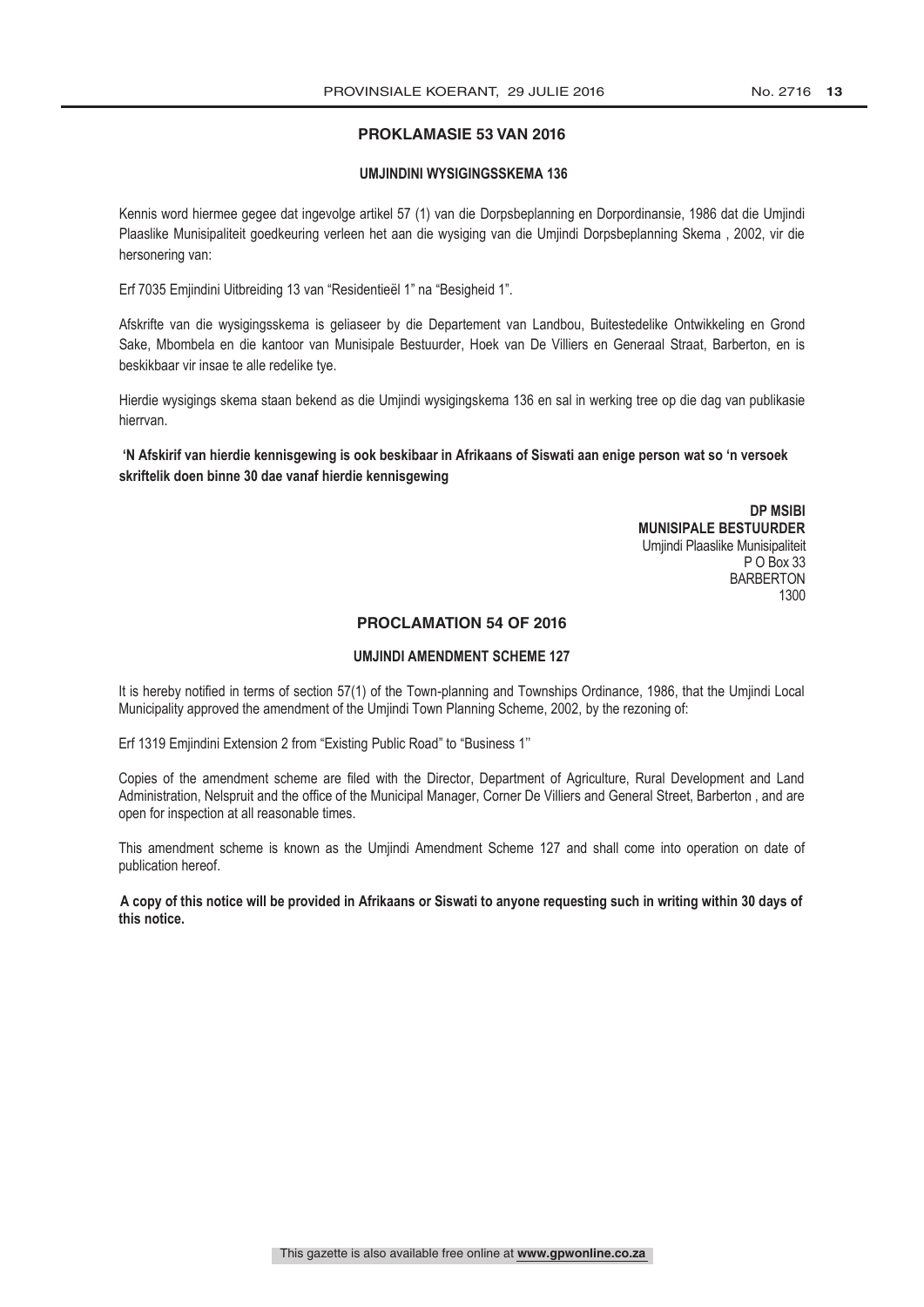#### **PROKLAMASIE 53 VAN 2016**

#### **UMJINDINI WYSIGINGSSKEMA 136**

Kennis word hiermee gegee dat ingevolge artikel 57 (1) van die Dorpsbeplanning en Dorpordinansie, 1986 dat die Umjindi Plaaslike Munisipaliteit goedkeuring verleen het aan die wysiging van die Umjindi Dorpsbeplanning Skema , 2002, vir die hersonering van:

Erf 7035 Emjindini Uitbreiding 13 van "Residentieël 1" na "Besigheid 1".

Afskrifte van die wysigingsskema is geliaseer by die Departement van Landbou, Buitestedelike Ontwikkeling en Grond Sake, Mbombela en die kantoor van Munisipale Bestuurder, Hoek van De Villiers en Generaal Straat, Barberton, en is beskikbaar vir insae te alle redelike tye.

Hierdie wysigings skema staan bekend as die Umjindi wysigingskema 136 en sal in werking tree op die dag van publikasie hierrvan.

**'N Afskirif van hierdie kennisgewing is ook beskibaar in Afrikaans of Siswati aan enige person wat so 'n versoek skriftelik doen binne 30 dae vanaf hierdie kennisgewing** 

> **DP MSIBI MUNISIPALE BESTUURDER**  Umjindi Plaaslike Munisipaliteit P O Box 33 BARBERTON 1300

#### **PROCLAMATION 54 OF 2016**

#### **UMJINDI AMENDMENT SCHEME 127**

It is hereby notified in terms of section 57(1) of the Town-planning and Townships Ordinance, 1986, that the Umjindi Local Municipality approved the amendment of the Umjindi Town Planning Scheme, 2002, by the rezoning of:

Erf 1319 Emjindini Extension 2 from "Existing Public Road" to "Business 1''

Copies of the amendment scheme are filed with the Director, Department of Agriculture, Rural Development and Land Administration, Nelspruit and the office of the Municipal Manager, Corner De Villiers and General Street, Barberton , and are open for inspection at all reasonable times.

This amendment scheme is known as the Umjindi Amendment Scheme 127 and shall come into operation on date of publication hereof.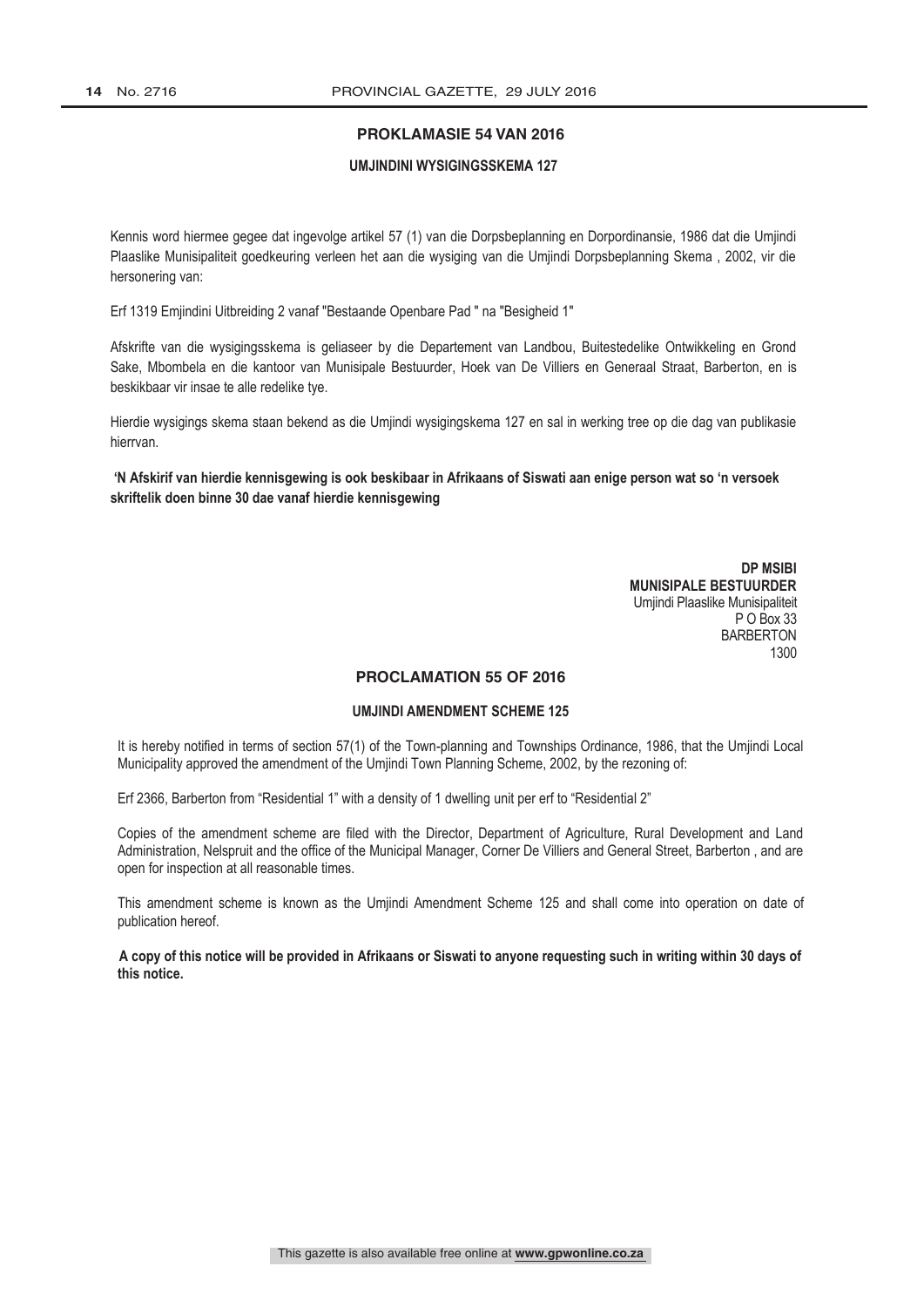### **PROKLAMASIE 54 VAN 2016**

#### **UMJINDINI WYSIGINGSSKEMA 127**

Kennis word hiermee gegee dat ingevolge artikel 57 (1) van die Dorpsbeplanning en Dorpordinansie, 1986 dat die Umjindi Plaaslike Munisipaliteit goedkeuring verleen het aan die wysiging van die Umjindi Dorpsbeplanning Skema , 2002, vir die hersonering van:

Erf 1319 Emjindini Uitbreiding 2 vanaf "Bestaande Openbare Pad " na "Besigheid 1"

Afskrifte van die wysigingsskema is geliaseer by die Departement van Landbou, Buitestedelike Ontwikkeling en Grond Sake, Mbombela en die kantoor van Munisipale Bestuurder, Hoek van De Villiers en Generaal Straat, Barberton, en is beskikbaar vir insae te alle redelike tye.

Hierdie wysigings skema staan bekend as die Umjindi wysigingskema 127 en sal in werking tree op die dag van publikasie hierrvan.

**'N Afskirif van hierdie kennisgewing is ook beskibaar in Afrikaans of Siswati aan enige person wat so 'n versoek skriftelik doen binne 30 dae vanaf hierdie kennisgewing**

> **DP MSIBI MUNISIPALE BESTUURDER** Umjindi Plaaslike Munisipaliteit P O Box 33 BARBERTON 1300

#### **PROCLAMATION 55 OF 2016**

#### **UMJINDI AMENDMENT SCHEME 125**

It is hereby notified in terms of section 57(1) of the Town-planning and Townships Ordinance, 1986, that the Umjindi Local Municipality approved the amendment of the Umjindi Town Planning Scheme, 2002, by the rezoning of:

Erf 2366, Barberton from "Residential 1" with a density of 1 dwelling unit per erf to "Residential 2"

Copies of the amendment scheme are filed with the Director, Department of Agriculture, Rural Development and Land Administration, Nelspruit and the office of the Municipal Manager, Corner De Villiers and General Street, Barberton , and are open for inspection at all reasonable times.

This amendment scheme is known as the Umjindi Amendment Scheme 125 and shall come into operation on date of publication hereof.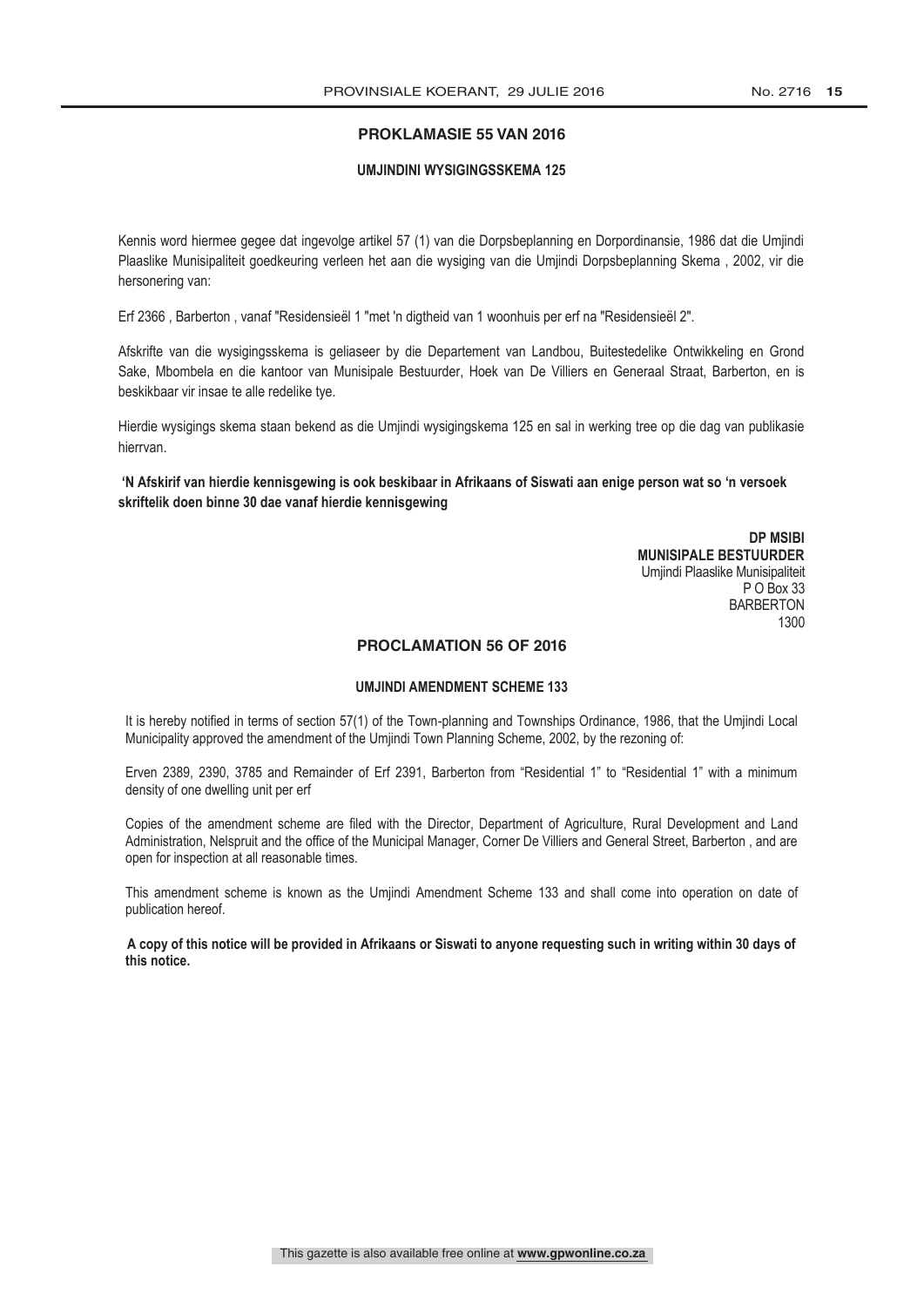#### **PROKLAMASIE 55 VAN 2016**

#### **UMJINDINI WYSIGINGSSKEMA 125**

Kennis word hiermee gegee dat ingevolge artikel 57 (1) van die Dorpsbeplanning en Dorpordinansie, 1986 dat die Umjindi Plaaslike Munisipaliteit goedkeuring verleen het aan die wysiging van die Umjindi Dorpsbeplanning Skema , 2002, vir die hersonering van:

Erf 2366 , Barberton , vanaf "Residensieël 1 "met 'n digtheid van 1 woonhuis per erf na "Residensieël 2".

Afskrifte van die wysigingsskema is geliaseer by die Departement van Landbou, Buitestedelike Ontwikkeling en Grond Sake, Mbombela en die kantoor van Munisipale Bestuurder, Hoek van De Villiers en Generaal Straat, Barberton, en is beskikbaar vir insae te alle redelike tye.

Hierdie wysigings skema staan bekend as die Umjindi wysigingskema 125 en sal in werking tree op die dag van publikasie hierrvan.

**'N Afskirif van hierdie kennisgewing is ook beskibaar in Afrikaans of Siswati aan enige person wat so 'n versoek skriftelik doen binne 30 dae vanaf hierdie kennisgewing**

> **DP MSIBI MUNISIPALE BESTUURDER** Umjindi Plaaslike Munisipaliteit P O Box 33 BARBERTON 1300

## **PROCLAMATION 56 OF 2016**

#### **UMJINDI AMENDMENT SCHEME 133**

It is hereby notified in terms of section 57(1) of the Town-planning and Townships Ordinance, 1986, that the Umjindi Local Municipality approved the amendment of the Umjindi Town Planning Scheme, 2002, by the rezoning of:

Erven 2389, 2390, 3785 and Remainder of Erf 2391, Barberton from "Residential 1" to "Residential 1" with a minimum density of one dwelling unit per erf

Copies of the amendment scheme are filed with the Director, Department of Agriculture, Rural Development and Land Administration, Nelspruit and the office of the Municipal Manager, Corner De Villiers and General Street, Barberton , and are open for inspection at all reasonable times.

This amendment scheme is known as the Umjindi Amendment Scheme 133 and shall come into operation on date of publication hereof.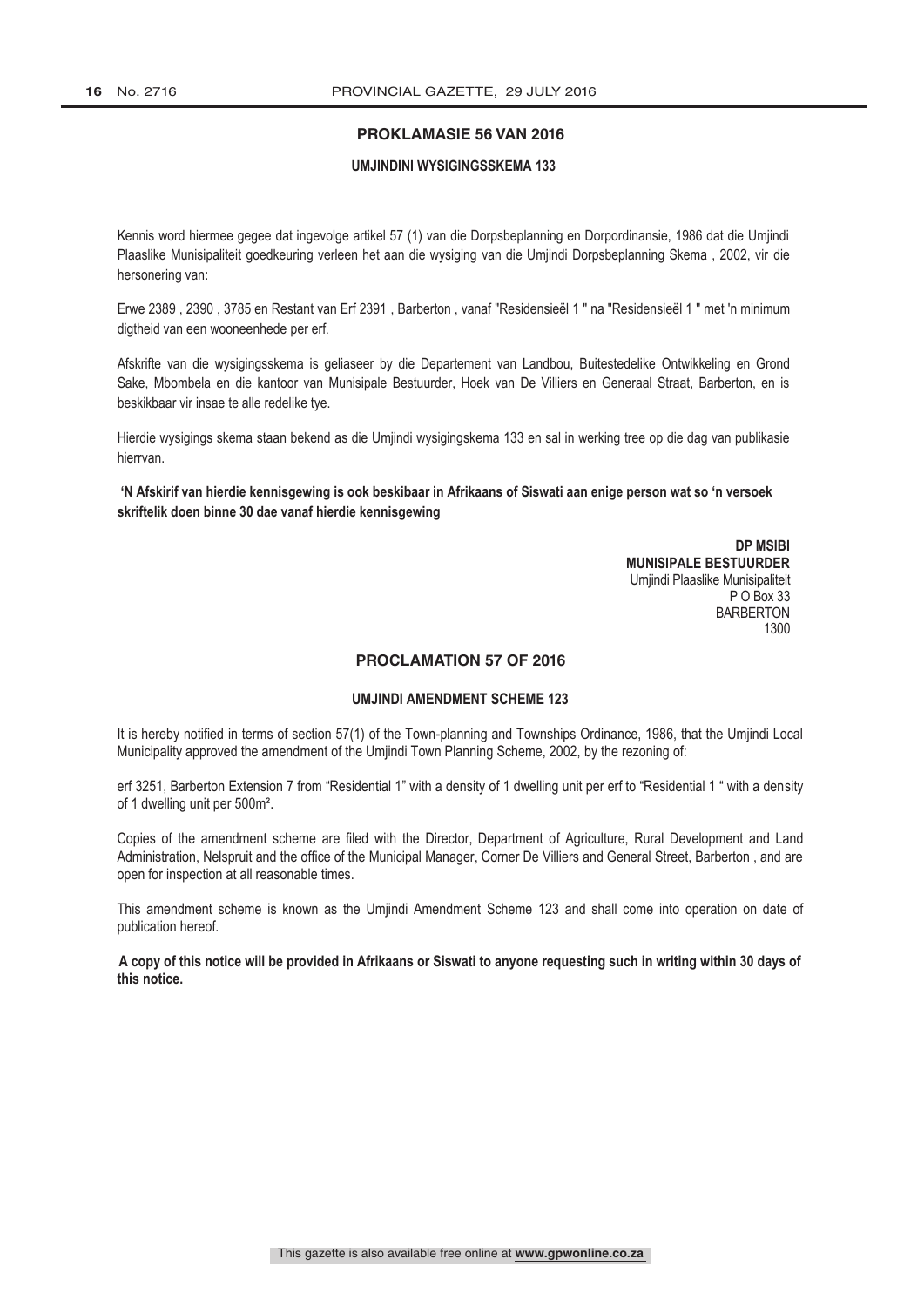#### **PROKLAMASIE 56 VAN 2016**

#### **UMJINDINI WYSIGINGSSKEMA 133**

Kennis word hiermee gegee dat ingevolge artikel 57 (1) van die Dorpsbeplanning en Dorpordinansie, 1986 dat die Umjindi Plaaslike Munisipaliteit goedkeuring verleen het aan die wysiging van die Umjindi Dorpsbeplanning Skema , 2002, vir die hersonering van:

Erwe 2389 , 2390 , 3785 en Restant van Erf 2391 , Barberton , vanaf "Residensieël 1 " na "Residensieël 1 " met 'n minimum digtheid van een wooneenhede per erf.

Afskrifte van die wysigingsskema is geliaseer by die Departement van Landbou, Buitestedelike Ontwikkeling en Grond Sake, Mbombela en die kantoor van Munisipale Bestuurder, Hoek van De Villiers en Generaal Straat, Barberton, en is beskikbaar vir insae te alle redelike tye.

Hierdie wysigings skema staan bekend as die Umjindi wysigingskema 133 en sal in werking tree op die dag van publikasie hierrvan.

**'N Afskirif van hierdie kennisgewing is ook beskibaar in Afrikaans of Siswati aan enige person wat so 'n versoek skriftelik doen binne 30 dae vanaf hierdie kennisgewing**

> **DP MSIBI MUNISIPALE BESTUURDER** Umjindi Plaaslike Munisipaliteit P O Box 33 BARBERTON 1300

#### **PROCLAMATION 57 OF 2016**

#### **UMJINDI AMENDMENT SCHEME 123**

It is hereby notified in terms of section 57(1) of the Town-planning and Townships Ordinance, 1986, that the Umjindi Local Municipality approved the amendment of the Umjindi Town Planning Scheme, 2002, by the rezoning of:

erf 3251, Barberton Extension 7 from "Residential 1" with a density of 1 dwelling unit per erf to "Residential 1 " with a density of 1 dwelling unit per 500m².

Copies of the amendment scheme are filed with the Director, Department of Agriculture, Rural Development and Land Administration, Nelspruit and the office of the Municipal Manager, Corner De Villiers and General Street, Barberton , and are open for inspection at all reasonable times.

This amendment scheme is known as the Umjindi Amendment Scheme 123 and shall come into operation on date of publication hereof.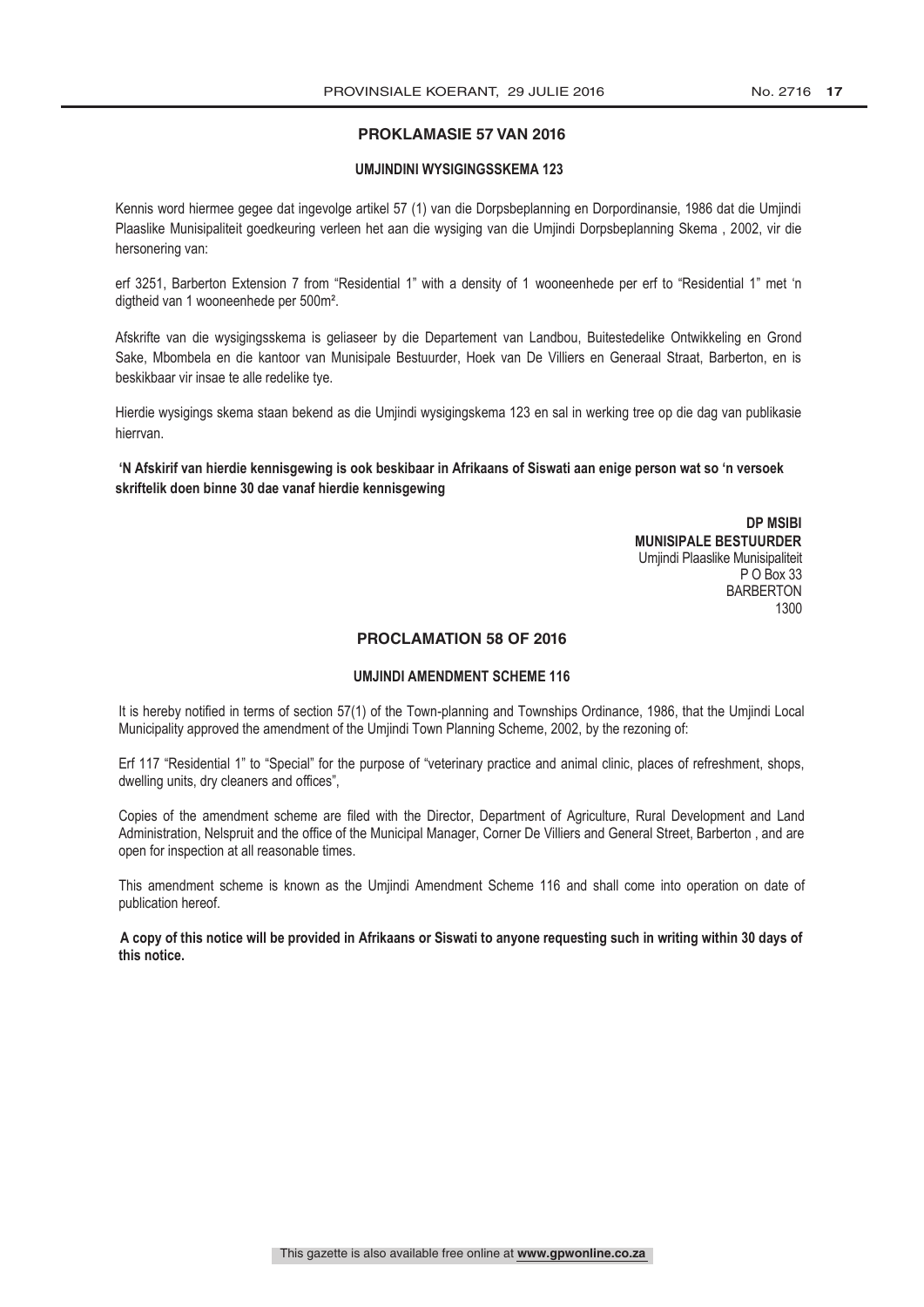#### **PROKLAMASIE 57 VAN 2016**

#### **UMJINDINI WYSIGINGSSKEMA 123**

Kennis word hiermee gegee dat ingevolge artikel 57 (1) van die Dorpsbeplanning en Dorpordinansie, 1986 dat die Umjindi Plaaslike Munisipaliteit goedkeuring verleen het aan die wysiging van die Umjindi Dorpsbeplanning Skema , 2002, vir die hersonering van:

erf 3251, Barberton Extension 7 from "Residential 1" with a density of 1 wooneenhede per erf to "Residential 1" met 'n digtheid van 1 wooneenhede per 500m².

Afskrifte van die wysigingsskema is geliaseer by die Departement van Landbou, Buitestedelike Ontwikkeling en Grond Sake, Mbombela en die kantoor van Munisipale Bestuurder, Hoek van De Villiers en Generaal Straat, Barberton, en is beskikbaar vir insae te alle redelike tye.

Hierdie wysigings skema staan bekend as die Umjindi wysigingskema 123 en sal in werking tree op die dag van publikasie hierrvan.

**'N Afskirif van hierdie kennisgewing is ook beskibaar in Afrikaans of Siswati aan enige person wat so 'n versoek skriftelik doen binne 30 dae vanaf hierdie kennisgewing** 

> **DP MSIBI MUNISIPALE BESTUURDER**  Umjindi Plaaslike Munisipaliteit P O Box 33 BARBERTON 1300

#### **PROCLAMATION 58 OF 2016**

#### **UMJINDI AMENDMENT SCHEME 116**

It is hereby notified in terms of section 57(1) of the Town-planning and Townships Ordinance, 1986, that the Umjindi Local Municipality approved the amendment of the Umjindi Town Planning Scheme, 2002, by the rezoning of:

Erf 117 "Residential 1" to "Special" for the purpose of "veterinary practice and animal clinic, places of refreshment, shops, dwelling units, dry cleaners and offices",

Copies of the amendment scheme are filed with the Director, Department of Agriculture, Rural Development and Land Administration, Nelspruit and the office of the Municipal Manager, Corner De Villiers and General Street, Barberton , and are open for inspection at all reasonable times.

This amendment scheme is known as the Umjindi Amendment Scheme 116 and shall come into operation on date of publication hereof.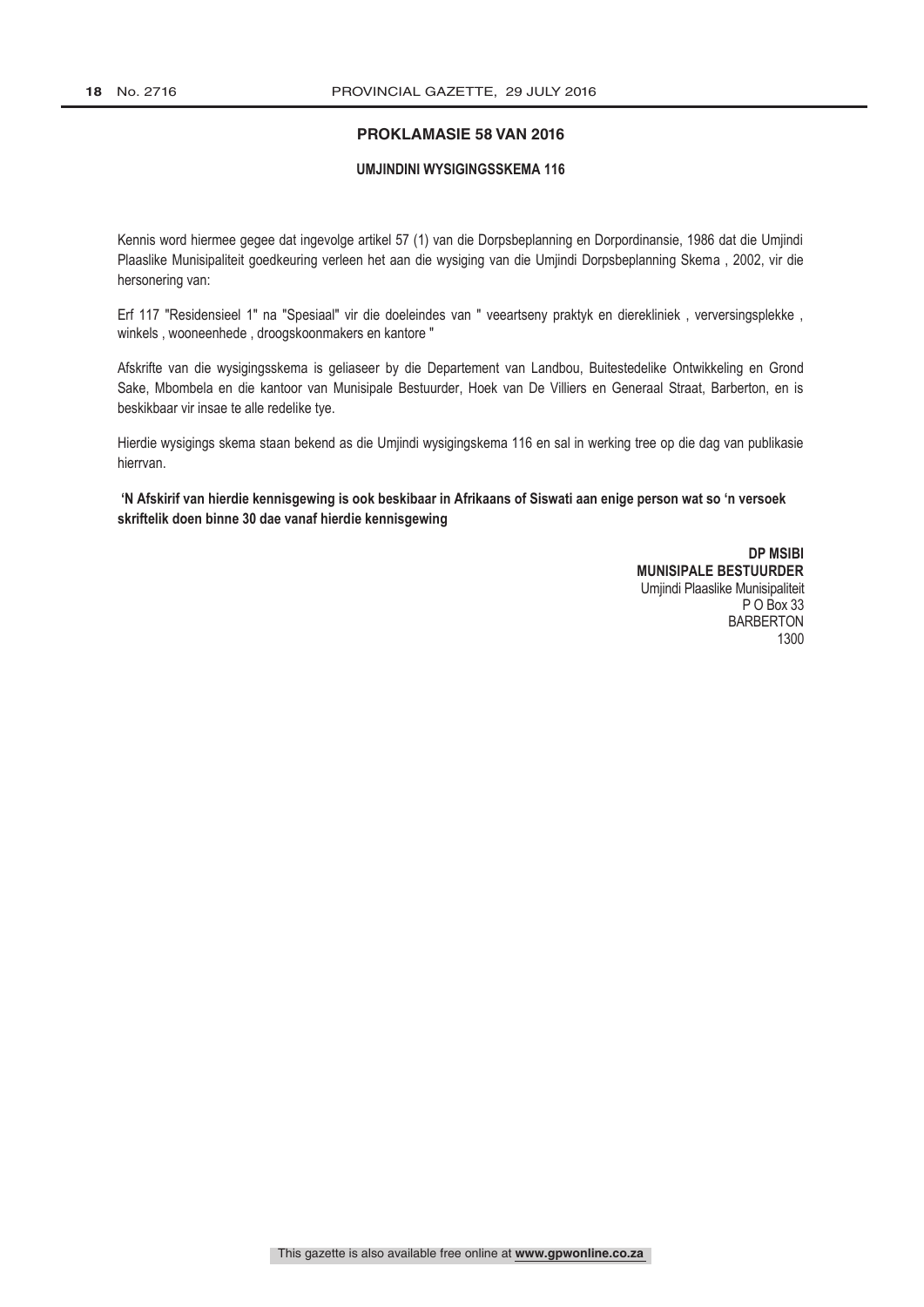#### **PROKLAMASIE 58 VAN 2016**

#### **UMJINDINI WYSIGINGSSKEMA 116**

Kennis word hiermee gegee dat ingevolge artikel 57 (1) van die Dorpsbeplanning en Dorpordinansie, 1986 dat die Umjindi Plaaslike Munisipaliteit goedkeuring verleen het aan die wysiging van die Umjindi Dorpsbeplanning Skema , 2002, vir die hersonering van:

Erf 117 "Residensieel 1" na "Spesiaal" vir die doeleindes van " veeartseny praktyk en dierekliniek , verversingsplekke , winkels , wooneenhede , droogskoonmakers en kantore "

Afskrifte van die wysigingsskema is geliaseer by die Departement van Landbou, Buitestedelike Ontwikkeling en Grond Sake, Mbombela en die kantoor van Munisipale Bestuurder, Hoek van De Villiers en Generaal Straat, Barberton, en is beskikbaar vir insae te alle redelike tye.

Hierdie wysigings skema staan bekend as die Umjindi wysigingskema 116 en sal in werking tree op die dag van publikasie hierrvan.

**'N Afskirif van hierdie kennisgewing is ook beskibaar in Afrikaans of Siswati aan enige person wat so 'n versoek skriftelik doen binne 30 dae vanaf hierdie kennisgewing**

> **DP MSIBI MUNISIPALE BESTUURDER** Umjindi Plaaslike Munisipaliteit P O Box 33 BARBERTON 1300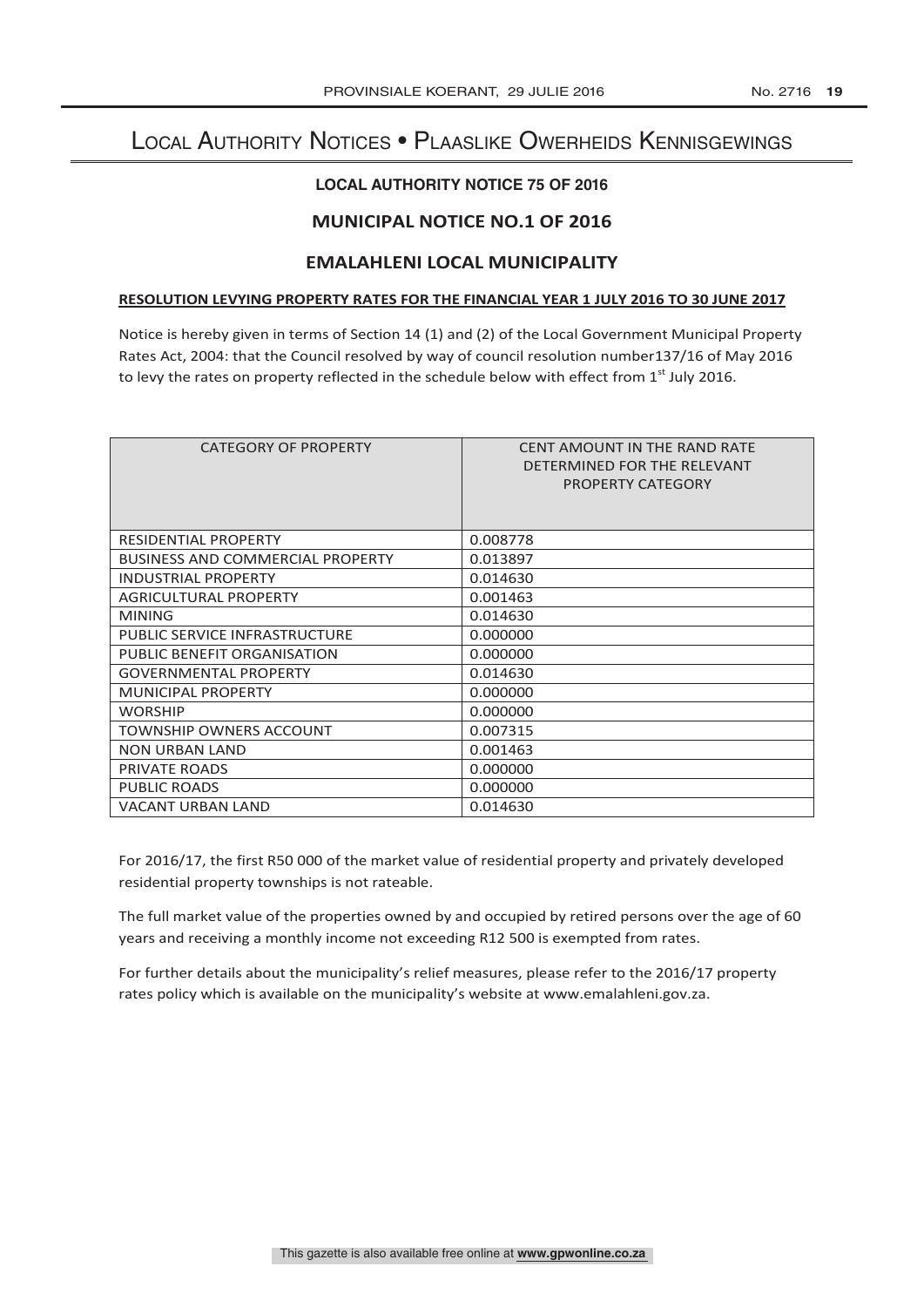## Local Authority Notices • Plaaslike Owerheids Kennisgewings

#### **LOCAL AUTHORITY NOTICE 75 OF 2016**

### **MUNICIPAL NOTICE NO.1 OF 2016**

### **EMALAHLENI LOCAL MUNICIPALITY**

#### **RESOLUTION LEVYING PROPERTY RATES FOR THE FINANCIAL YEAR 1 JULY 2016 TO 30 JUNE 2017**

Notice is hereby given in terms of Section 14 (1) and (2) of the Local Government Municipal Property Rates Act, 2004: that the Council resolved by way of council resolution number137/16 of May 2016 to levy the rates on property reflected in the schedule below with effect from  $1<sup>st</sup>$  July 2016.

| <b>CATEGORY OF PROPERTY</b>             | CENT AMOUNT IN THE RAND RATE<br>DETERMINED FOR THE RELEVANT<br><b>PROPERTY CATEGORY</b> |
|-----------------------------------------|-----------------------------------------------------------------------------------------|
| <b>RESIDENTIAL PROPERTY</b>             | 0.008778                                                                                |
| <b>BUSINESS AND COMMERCIAL PROPERTY</b> | 0.013897                                                                                |
| <b>INDUSTRIAL PROPERTY</b>              | 0.014630                                                                                |
| <b>AGRICULTURAL PROPERTY</b>            | 0.001463                                                                                |
| <b>MINING</b>                           | 0.014630                                                                                |
| PUBLIC SERVICE INFRASTRUCTURE           | 0.000000                                                                                |
| PUBLIC BENEFIT ORGANISATION             | 0.000000                                                                                |
| <b>GOVERNMENTAL PROPERTY</b>            | 0.014630                                                                                |
| <b>MUNICIPAL PROPERTY</b>               | 0.000000                                                                                |
| <b>WORSHIP</b>                          | 0.000000                                                                                |
| TOWNSHIP OWNERS ACCOUNT                 | 0.007315                                                                                |
| <b>NON URBAN LAND</b>                   | 0.001463                                                                                |
| PRIVATE ROADS                           | 0.000000                                                                                |
| <b>PUBLIC ROADS</b>                     | 0.000000                                                                                |
| <b>VACANT URBAN LAND</b>                | 0.014630                                                                                |

For 2016/17, the first R50 000 of the market value of residential property and privately developed residential property townships is not rateable.

The full market value of the properties owned by and occupied by retired persons over the age of 60 years and receiving a monthly income not exceeding R12 500 is exempted from rates.

For further details about the municipality's relief measures, please refer to the 2016/17 property rates policy which is available on the municipality's website at www.emalahleni.gov.za.